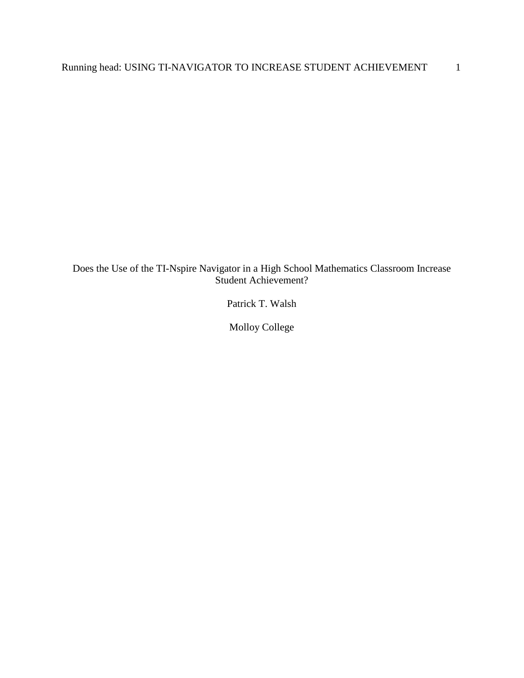Does the Use of the TI-Nspire Navigator in a High School Mathematics Classroom Increase Student Achievement?

Patrick T. Walsh

Molloy College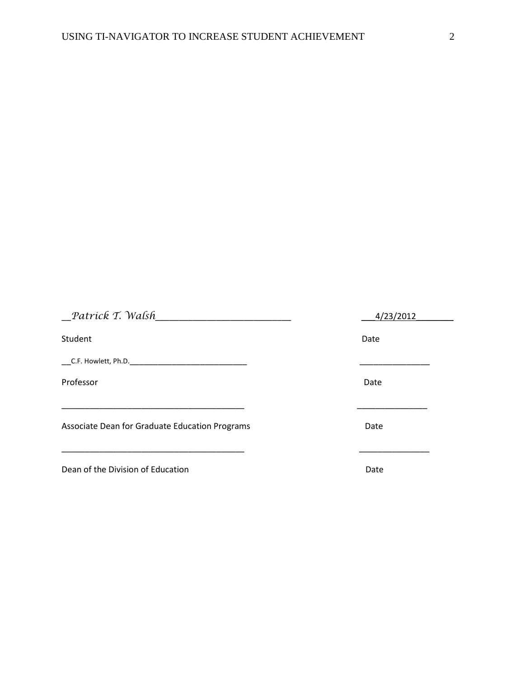| Patrick T. Walsh                               | 4/23/2012 |  |
|------------------------------------------------|-----------|--|
| Student                                        | Date      |  |
|                                                |           |  |
| Professor                                      | Date      |  |
| Associate Dean for Graduate Education Programs | Date      |  |
|                                                |           |  |
| Dean of the Division of Education              | Date      |  |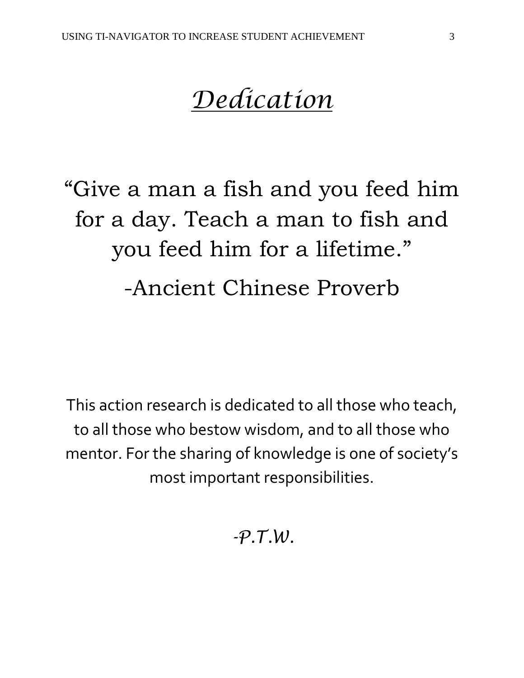# *Dedication*

"Give a man a fish and you feed him for a day. Teach a man to fish and you feed him for a lifetime." -Ancient Chinese Proverb

This action research is dedicated to all those who teach, to all those who bestow wisdom, and to all those who mentor. For the sharing of knowledge is one of society's most important responsibilities.

*-P.T.W.*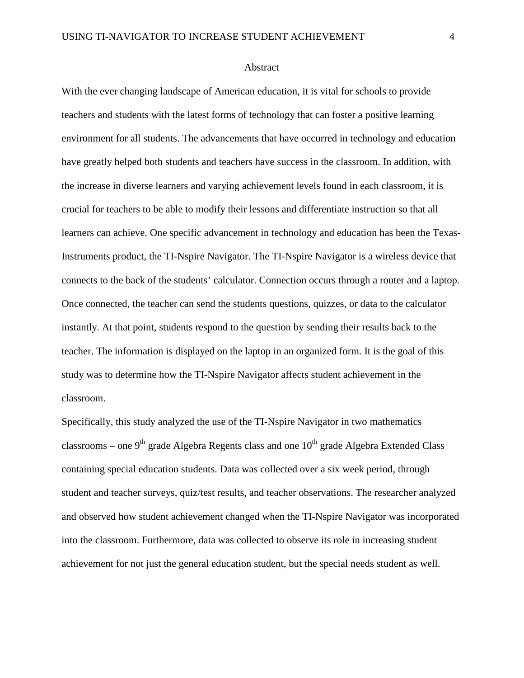#### Abstract

With the ever changing landscape of American education, it is vital for schools to provide teachers and students with the latest forms of technology that can foster a positive learning environment for all students. The advancements that have occurred in technology and education have greatly helped both students and teachers have success in the classroom. In addition, with the increase in diverse learners and varying achievement levels found in each classroom, it is crucial for teachers to be able to modify their lessons and differentiate instruction so that all learners can achieve. One specific advancement in technology and education has been the Texas-Instruments product, the TI-Nspire Navigator. The TI-Nspire Navigator is a wireless device that connects to the back of the students' calculator. Connection occurs through a router and a laptop. Once connected, the teacher can send the students questions, quizzes, or data to the calculator instantly. At that point, students respond to the question by sending their results back to the teacher. The information is displayed on the laptop in an organized form. It is the goal of this study was to determine how the TI-Nspire Navigator affects student achievement in the classroom.

Specifically, this study analyzed the use of the TI-Nspire Navigator in two mathematics classrooms – one 9<sup>th</sup> grade Algebra Regents class and one  $10^{th}$  grade Algebra Extended Class containing special education students. Data was collected over a six week period, through student and teacher surveys, quiz/test results, and teacher observations. The researcher analyzed and observed how student achievement changed when the TI-Nspire Navigator was incorporated into the classroom. Furthermore, data was collected to observe its role in increasing student achievement for not just the general education student, but the special needs student as well.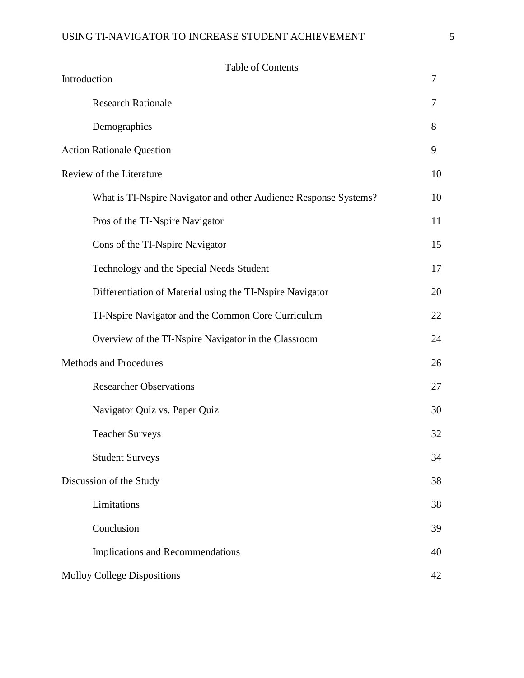# USING TI-NAVIGATOR TO INCREASE STUDENT ACHIEVEMENT 5

| <b>Table of Contents</b><br>Introduction<br>7                    |    |
|------------------------------------------------------------------|----|
| <b>Research Rationale</b>                                        | 7  |
| Demographics                                                     | 8  |
| <b>Action Rationale Question</b>                                 | 9  |
| Review of the Literature                                         | 10 |
| What is TI-Nspire Navigator and other Audience Response Systems? | 10 |
| Pros of the TI-Nspire Navigator                                  | 11 |
| Cons of the TI-Nspire Navigator                                  | 15 |
| Technology and the Special Needs Student                         | 17 |
| Differentiation of Material using the TI-Nspire Navigator        | 20 |
| TI-Nspire Navigator and the Common Core Curriculum               | 22 |
| Overview of the TI-Nspire Navigator in the Classroom             | 24 |
| Methods and Procedures                                           | 26 |
| <b>Researcher Observations</b>                                   | 27 |
| Navigator Quiz vs. Paper Quiz                                    | 30 |
| <b>Teacher Surveys</b>                                           | 32 |
| <b>Student Surveys</b>                                           | 34 |
| Discussion of the Study                                          | 38 |
| Limitations                                                      | 38 |
| Conclusion                                                       | 39 |
| Implications and Recommendations                                 | 40 |
| <b>Molloy College Dispositions</b>                               | 42 |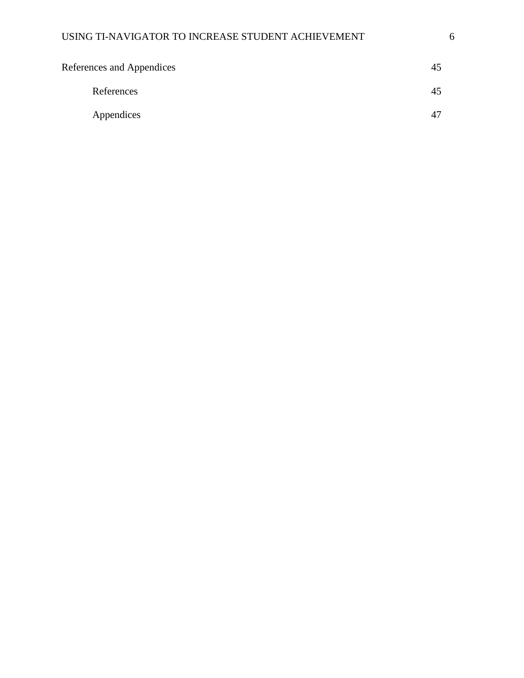| References and Appendices | 45             |
|---------------------------|----------------|
| References                | 45             |
| Appendices                | 4 <sup>7</sup> |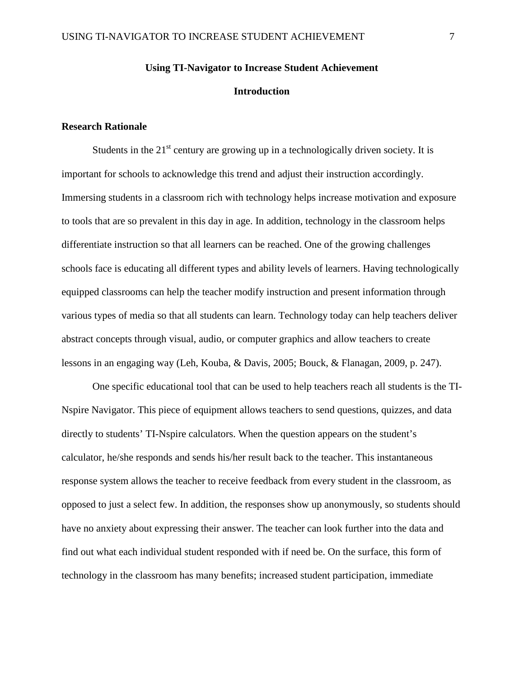# **Using TI-Navigator to Increase Student Achievement Introduction**

### **Research Rationale**

Students in the  $21<sup>st</sup>$  century are growing up in a technologically driven society. It is important for schools to acknowledge this trend and adjust their instruction accordingly. Immersing students in a classroom rich with technology helps increase motivation and exposure to tools that are so prevalent in this day in age. In addition, technology in the classroom helps differentiate instruction so that all learners can be reached. One of the growing challenges schools face is educating all different types and ability levels of learners. Having technologically equipped classrooms can help the teacher modify instruction and present information through various types of media so that all students can learn. Technology today can help teachers deliver abstract concepts through visual, audio, or computer graphics and allow teachers to create lessons in an engaging way (Leh, Kouba, & Davis, 2005; Bouck, & Flanagan, 2009, p. 247).

One specific educational tool that can be used to help teachers reach all students is the TI-Nspire Navigator. This piece of equipment allows teachers to send questions, quizzes, and data directly to students' TI-Nspire calculators. When the question appears on the student's calculator, he/she responds and sends his/her result back to the teacher. This instantaneous response system allows the teacher to receive feedback from every student in the classroom, as opposed to just a select few. In addition, the responses show up anonymously, so students should have no anxiety about expressing their answer. The teacher can look further into the data and find out what each individual student responded with if need be. On the surface, this form of technology in the classroom has many benefits; increased student participation, immediate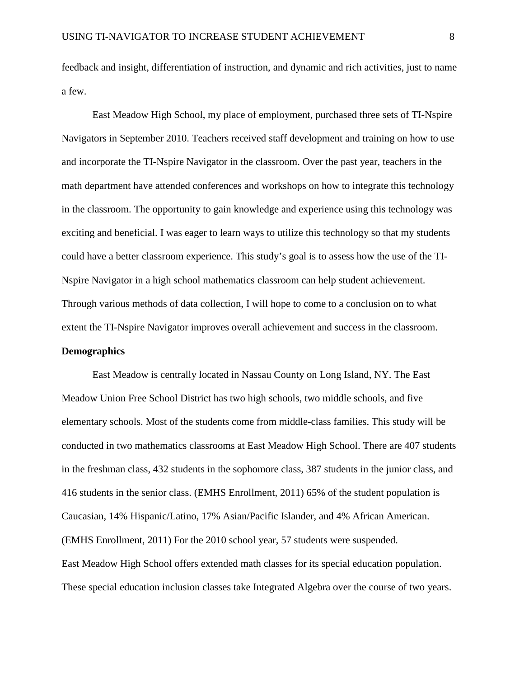feedback and insight, differentiation of instruction, and dynamic and rich activities, just to name a few.

East Meadow High School, my place of employment, purchased three sets of TI-Nspire Navigators in September 2010. Teachers received staff development and training on how to use and incorporate the TI-Nspire Navigator in the classroom. Over the past year, teachers in the math department have attended conferences and workshops on how to integrate this technology in the classroom. The opportunity to gain knowledge and experience using this technology was exciting and beneficial. I was eager to learn ways to utilize this technology so that my students could have a better classroom experience. This study's goal is to assess how the use of the TI-Nspire Navigator in a high school mathematics classroom can help student achievement. Through various methods of data collection, I will hope to come to a conclusion on to what extent the TI-Nspire Navigator improves overall achievement and success in the classroom. **Demographics**

East Meadow is centrally located in Nassau County on Long Island, NY. The East Meadow Union Free School District has two high schools, two middle schools, and five elementary schools. Most of the students come from middle-class families. This study will be conducted in two mathematics classrooms at East Meadow High School. There are 407 students in the freshman class, 432 students in the sophomore class, 387 students in the junior class, and 416 students in the senior class. (EMHS Enrollment, 2011) 65% of the student population is Caucasian, 14% Hispanic/Latino, 17% Asian/Pacific Islander, and 4% African American. (EMHS Enrollment, 2011) For the 2010 school year, 57 students were suspended. East Meadow High School offers extended math classes for its special education population. These special education inclusion classes take Integrated Algebra over the course of two years.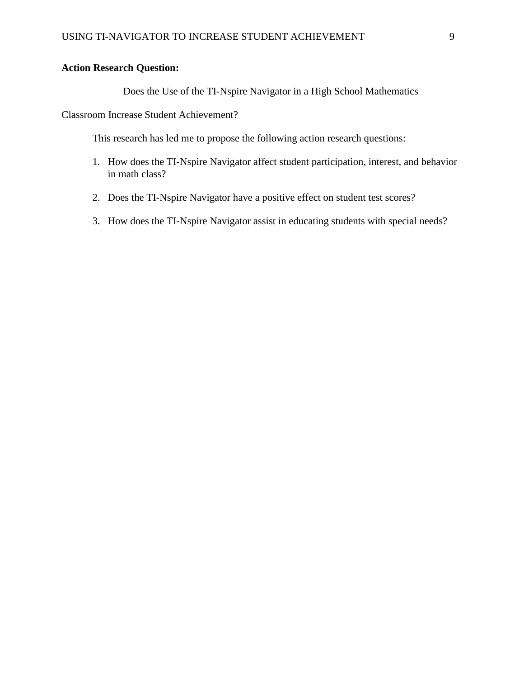# **Action Research Question:**

# Does the Use of the TI-Nspire Navigator in a High School Mathematics

Classroom Increase Student Achievement?

This research has led me to propose the following action research questions:

- 1. How does the TI-Nspire Navigator affect student participation, interest, and behavior in math class?
- 2. Does the TI-Nspire Navigator have a positive effect on student test scores?
- 3. How does the TI-Nspire Navigator assist in educating students with special needs?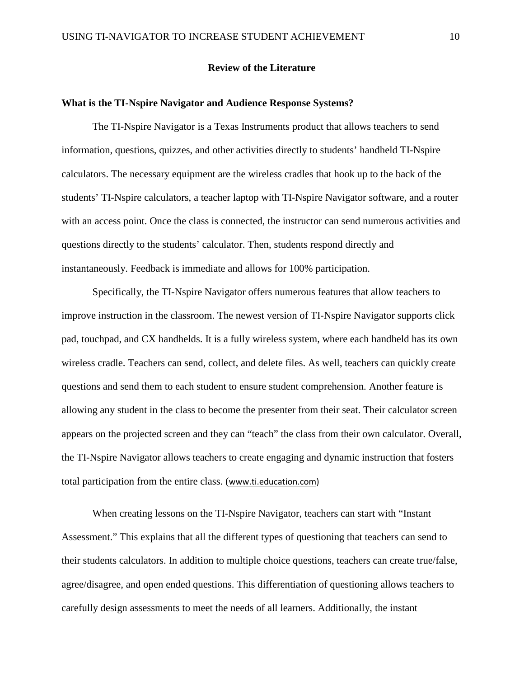#### **Review of the Literature**

#### **What is the TI-Nspire Navigator and Audience Response Systems?**

The TI-Nspire Navigator is a Texas Instruments product that allows teachers to send information, questions, quizzes, and other activities directly to students' handheld TI-Nspire calculators. The necessary equipment are the wireless cradles that hook up to the back of the students' TI-Nspire calculators, a teacher laptop with TI-Nspire Navigator software, and a router with an access point. Once the class is connected, the instructor can send numerous activities and questions directly to the students' calculator. Then, students respond directly and instantaneously. Feedback is immediate and allows for 100% participation.

Specifically, the TI-Nspire Navigator offers numerous features that allow teachers to improve instruction in the classroom. The newest version of TI-Nspire Navigator supports click pad, touchpad, and CX handhelds. It is a fully wireless system, where each handheld has its own wireless cradle. Teachers can send, collect, and delete files. As well, teachers can quickly create questions and send them to each student to ensure student comprehension. Another feature is allowing any student in the class to become the presenter from their seat. Their calculator screen appears on the projected screen and they can "teach" the class from their own calculator. Overall, the TI-Nspire Navigator allows teachers to create engaging and dynamic instruction that fosters total participation from the entire class. ([www.ti.education.com\)](http://www.ti.education.com/)

When creating lessons on the TI-Nspire Navigator, teachers can start with "Instant Assessment." This explains that all the different types of questioning that teachers can send to their students calculators. In addition to multiple choice questions, teachers can create true/false, agree/disagree, and open ended questions. This differentiation of questioning allows teachers to carefully design assessments to meet the needs of all learners. Additionally, the instant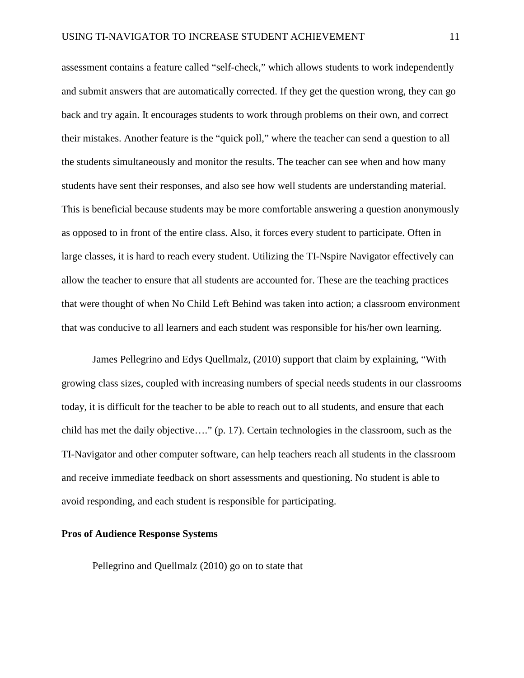assessment contains a feature called "self-check," which allows students to work independently and submit answers that are automatically corrected. If they get the question wrong, they can go back and try again. It encourages students to work through problems on their own, and correct their mistakes. Another feature is the "quick poll," where the teacher can send a question to all the students simultaneously and monitor the results. The teacher can see when and how many students have sent their responses, and also see how well students are understanding material. This is beneficial because students may be more comfortable answering a question anonymously as opposed to in front of the entire class. Also, it forces every student to participate. Often in large classes, it is hard to reach every student. Utilizing the TI-Nspire Navigator effectively can allow the teacher to ensure that all students are accounted for. These are the teaching practices that were thought of when No Child Left Behind was taken into action; a classroom environment that was conducive to all learners and each student was responsible for his/her own learning.

James Pellegrino and Edys Quellmalz, (2010) support that claim by explaining, "With growing class sizes, coupled with increasing numbers of special needs students in our classrooms today, it is difficult for the teacher to be able to reach out to all students, and ensure that each child has met the daily objective…." (p. 17). Certain technologies in the classroom, such as the TI-Navigator and other computer software, can help teachers reach all students in the classroom and receive immediate feedback on short assessments and questioning. No student is able to avoid responding, and each student is responsible for participating.

#### **Pros of Audience Response Systems**

Pellegrino and Quellmalz (2010) go on to state that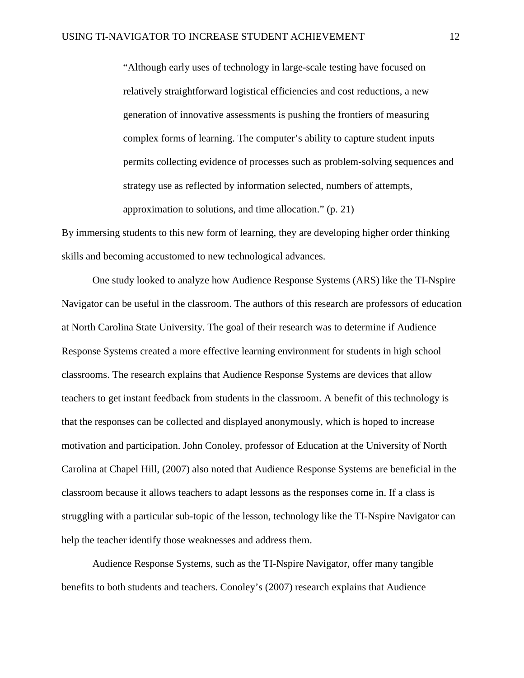"Although early uses of technology in large-scale testing have focused on relatively straightforward logistical efficiencies and cost reductions, a new generation of innovative assessments is pushing the frontiers of measuring complex forms of learning. The computer's ability to capture student inputs permits collecting evidence of processes such as problem-solving sequences and strategy use as reflected by information selected, numbers of attempts, approximation to solutions, and time allocation." (p. 21)

By immersing students to this new form of learning, they are developing higher order thinking skills and becoming accustomed to new technological advances.

One study looked to analyze how Audience Response Systems (ARS) like the TI-Nspire Navigator can be useful in the classroom. The authors of this research are professors of education at North Carolina State University. The goal of their research was to determine if Audience Response Systems created a more effective learning environment for students in high school classrooms. The research explains that Audience Response Systems are devices that allow teachers to get instant feedback from students in the classroom. A benefit of this technology is that the responses can be collected and displayed anonymously, which is hoped to increase motivation and participation. John Conoley, professor of Education at the University of North Carolina at Chapel Hill, (2007) also noted that Audience Response Systems are beneficial in the classroom because it allows teachers to adapt lessons as the responses come in. If a class is struggling with a particular sub-topic of the lesson, technology like the TI-Nspire Navigator can help the teacher identify those weaknesses and address them.

Audience Response Systems, such as the TI-Nspire Navigator, offer many tangible benefits to both students and teachers. Conoley's (2007) research explains that Audience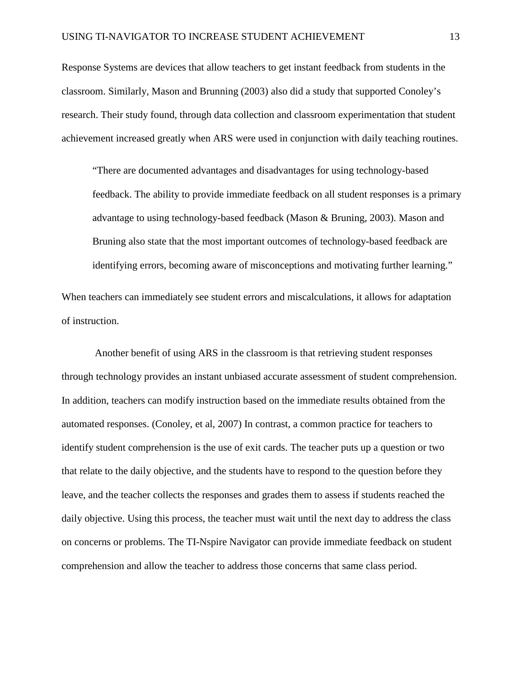Response Systems are devices that allow teachers to get instant feedback from students in the classroom. Similarly, Mason and Brunning (2003) also did a study that supported Conoley's research. Their study found, through data collection and classroom experimentation that student achievement increased greatly when ARS were used in conjunction with daily teaching routines.

"There are documented advantages and disadvantages for using technology-based feedback. The ability to provide immediate feedback on all student responses is a primary advantage to using technology-based feedback (Mason & Bruning, 2003). Mason and Bruning also state that the most important outcomes of technology-based feedback are identifying errors, becoming aware of misconceptions and motivating further learning."

When teachers can immediately see student errors and miscalculations, it allows for adaptation of instruction.

Another benefit of using ARS in the classroom is that retrieving student responses through technology provides an instant unbiased accurate assessment of student comprehension. In addition, teachers can modify instruction based on the immediate results obtained from the automated responses. (Conoley, et al, 2007) In contrast, a common practice for teachers to identify student comprehension is the use of exit cards. The teacher puts up a question or two that relate to the daily objective, and the students have to respond to the question before they leave, and the teacher collects the responses and grades them to assess if students reached the daily objective. Using this process, the teacher must wait until the next day to address the class on concerns or problems. The TI-Nspire Navigator can provide immediate feedback on student comprehension and allow the teacher to address those concerns that same class period.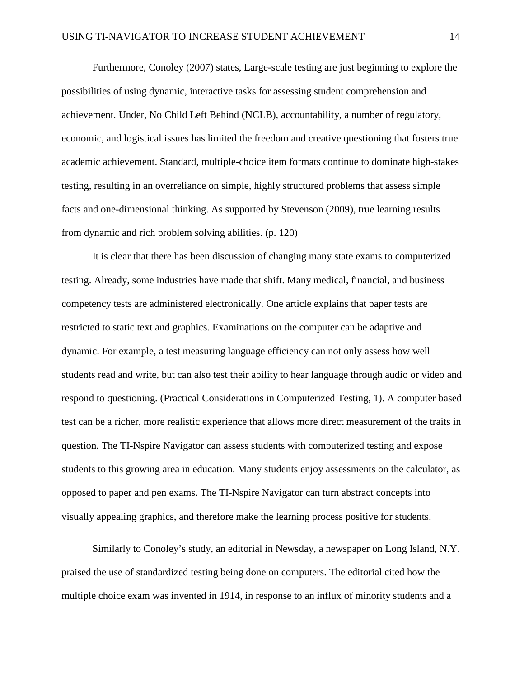Furthermore, Conoley (2007) states, Large-scale testing are just beginning to explore the possibilities of using dynamic, interactive tasks for assessing student comprehension and achievement. Under, No Child Left Behind (NCLB), accountability, a number of regulatory, economic, and logistical issues has limited the freedom and creative questioning that fosters true academic achievement. Standard, multiple-choice item formats continue to dominate high-stakes testing, resulting in an overreliance on simple, highly structured problems that assess simple facts and one-dimensional thinking. As supported by Stevenson (2009), true learning results from dynamic and rich problem solving abilities. (p. 120)

It is clear that there has been discussion of changing many state exams to computerized testing. Already, some industries have made that shift. Many medical, financial, and business competency tests are administered electronically. One article explains that paper tests are restricted to static text and graphics. Examinations on the computer can be adaptive and dynamic. For example, a test measuring language efficiency can not only assess how well students read and write, but can also test their ability to hear language through audio or video and respond to questioning. (Practical Considerations in Computerized Testing, 1). A computer based test can be a richer, more realistic experience that allows more direct measurement of the traits in question. The TI-Nspire Navigator can assess students with computerized testing and expose students to this growing area in education. Many students enjoy assessments on the calculator, as opposed to paper and pen exams. The TI-Nspire Navigator can turn abstract concepts into visually appealing graphics, and therefore make the learning process positive for students.

Similarly to Conoley's study, an editorial in Newsday, a newspaper on Long Island, N.Y. praised the use of standardized testing being done on computers. The editorial cited how the multiple choice exam was invented in 1914, in response to an influx of minority students and a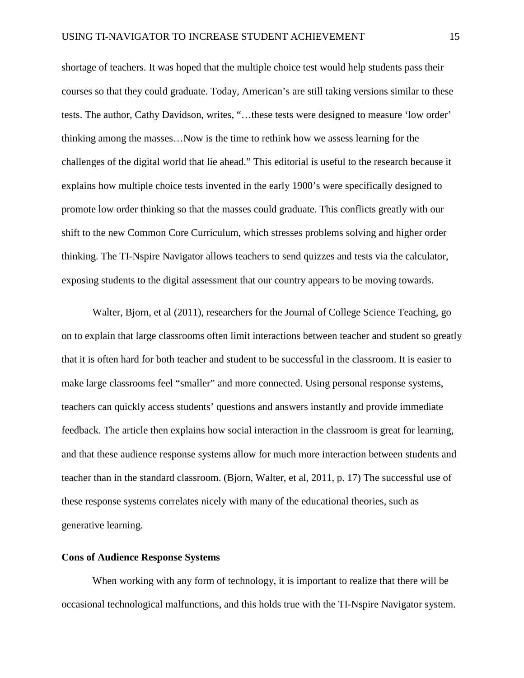shortage of teachers. It was hoped that the multiple choice test would help students pass their courses so that they could graduate. Today, American's are still taking versions similar to these tests. The author, Cathy Davidson, writes, "…these tests were designed to measure 'low order' thinking among the masses…Now is the time to rethink how we assess learning for the challenges of the digital world that lie ahead." This editorial is useful to the research because it explains how multiple choice tests invented in the early 1900's were specifically designed to promote low order thinking so that the masses could graduate. This conflicts greatly with our shift to the new Common Core Curriculum, which stresses problems solving and higher order thinking. The TI-Nspire Navigator allows teachers to send quizzes and tests via the calculator, exposing students to the digital assessment that our country appears to be moving towards.

Walter, Bjorn, et al (2011), researchers for the Journal of College Science Teaching, go on to explain that large classrooms often limit interactions between teacher and student so greatly that it is often hard for both teacher and student to be successful in the classroom. It is easier to make large classrooms feel "smaller" and more connected. Using personal response systems, teachers can quickly access students' questions and answers instantly and provide immediate feedback. The article then explains how social interaction in the classroom is great for learning, and that these audience response systems allow for much more interaction between students and teacher than in the standard classroom. (Bjorn, Walter, et al, 2011, p. 17) The successful use of these response systems correlates nicely with many of the educational theories, such as generative learning.

#### **Cons of Audience Response Systems**

When working with any form of technology, it is important to realize that there will be occasional technological malfunctions, and this holds true with the TI-Nspire Navigator system.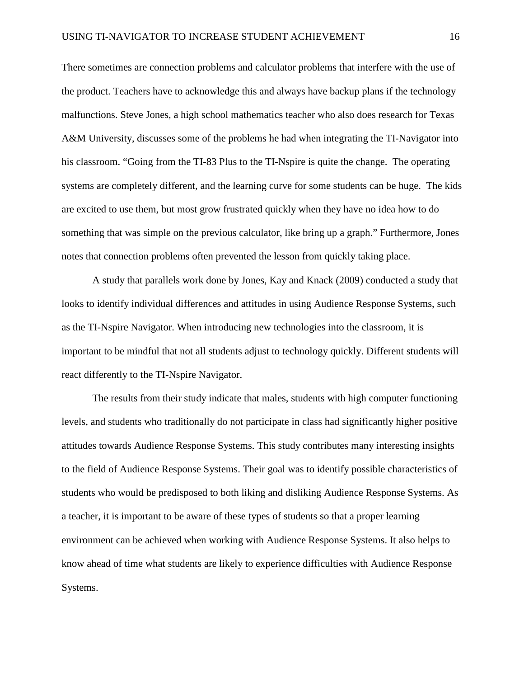There sometimes are connection problems and calculator problems that interfere with the use of the product. Teachers have to acknowledge this and always have backup plans if the technology malfunctions. Steve Jones, a high school mathematics teacher who also does research for Texas A&M University, discusses some of the problems he had when integrating the TI-Navigator into his classroom. "Going from the TI-83 Plus to the TI-Nspire is quite the change. The operating systems are completely different, and the learning curve for some students can be huge. The kids are excited to use them, but most grow frustrated quickly when they have no idea how to do something that was simple on the previous calculator, like bring up a graph." Furthermore, Jones notes that connection problems often prevented the lesson from quickly taking place.

A study that parallels work done by Jones, Kay and Knack (2009) conducted a study that looks to identify individual differences and attitudes in using Audience Response Systems, such as the TI-Nspire Navigator. When introducing new technologies into the classroom, it is important to be mindful that not all students adjust to technology quickly. Different students will react differently to the TI-Nspire Navigator.

The results from their study indicate that males, students with high computer functioning levels, and students who traditionally do not participate in class had significantly higher positive attitudes towards Audience Response Systems. This study contributes many interesting insights to the field of Audience Response Systems. Their goal was to identify possible characteristics of students who would be predisposed to both liking and disliking Audience Response Systems. As a teacher, it is important to be aware of these types of students so that a proper learning environment can be achieved when working with Audience Response Systems. It also helps to know ahead of time what students are likely to experience difficulties with Audience Response Systems.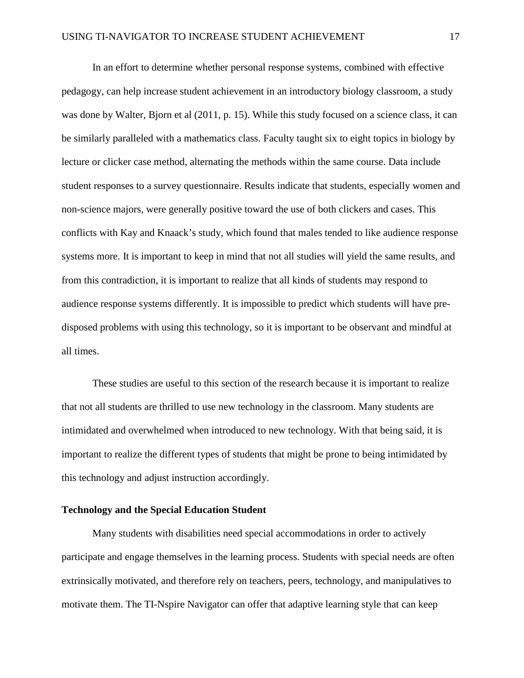In an effort to determine whether personal response systems, combined with effective pedagogy, can help increase student achievement in an introductory biology classroom, a study was done by Walter, Bjorn et al (2011, p. 15). While this study focused on a science class, it can be similarly paralleled with a mathematics class. Faculty taught six to eight topics in biology by lecture or clicker case method, alternating the methods within the same course. Data include student responses to a survey questionnaire. Results indicate that students, especially women and non-science majors, were generally positive toward the use of both clickers and cases. This conflicts with Kay and Knaack's study, which found that males tended to like audience response systems more. It is important to keep in mind that not all studies will yield the same results, and from this contradiction, it is important to realize that all kinds of students may respond to audience response systems differently. It is impossible to predict which students will have predisposed problems with using this technology, so it is important to be observant and mindful at all times.

These studies are useful to this section of the research because it is important to realize that not all students are thrilled to use new technology in the classroom. Many students are intimidated and overwhelmed when introduced to new technology. With that being said, it is important to realize the different types of students that might be prone to being intimidated by this technology and adjust instruction accordingly.

# **Technology and the Special Education Student**

Many students with disabilities need special accommodations in order to actively participate and engage themselves in the learning process. Students with special needs are often extrinsically motivated, and therefore rely on teachers, peers, technology, and manipulatives to motivate them. The TI-Nspire Navigator can offer that adaptive learning style that can keep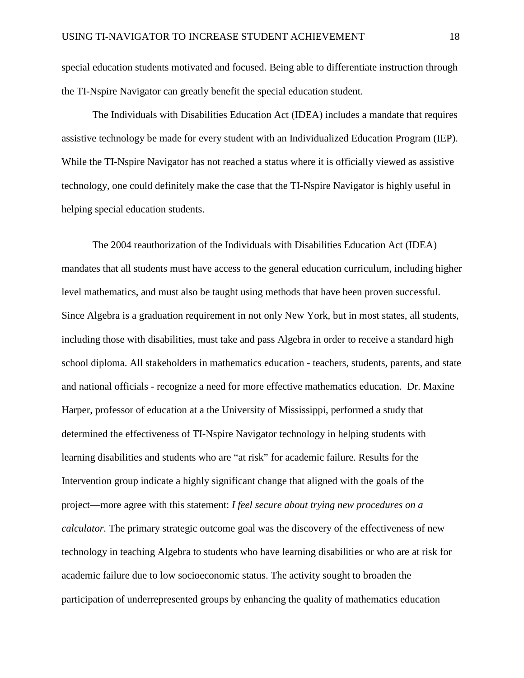special education students motivated and focused. Being able to differentiate instruction through the TI-Nspire Navigator can greatly benefit the special education student.

The Individuals with Disabilities Education Act (IDEA) includes a mandate that requires assistive technology be made for every student with an Individualized Education Program (IEP). While the TI-Nspire Navigator has not reached a status where it is officially viewed as assistive technology, one could definitely make the case that the TI-Nspire Navigator is highly useful in helping special education students.

The 2004 reauthorization of the Individuals with Disabilities Education Act (IDEA) mandates that all students must have access to the general education curriculum, including higher level mathematics, and must also be taught using methods that have been proven successful. Since Algebra is a graduation requirement in not only New York, but in most states, all students, including those with disabilities, must take and pass Algebra in order to receive a standard high school diploma. All stakeholders in mathematics education - teachers, students, parents, and state and national officials - recognize a need for more effective mathematics education. Dr. Maxine Harper, professor of education at a the University of Mississippi, performed a study that determined the effectiveness of TI-Nspire Navigator technology in helping students with learning disabilities and students who are "at risk" for academic failure. Results for the Intervention group indicate a highly significant change that aligned with the goals of the project—more agree with this statement: *I feel secure about trying new procedures on a calculator.* The primary strategic outcome goal was the discovery of the effectiveness of new technology in teaching Algebra to students who have learning disabilities or who are at risk for academic failure due to low socioeconomic status. The activity sought to broaden the participation of underrepresented groups by enhancing the quality of mathematics education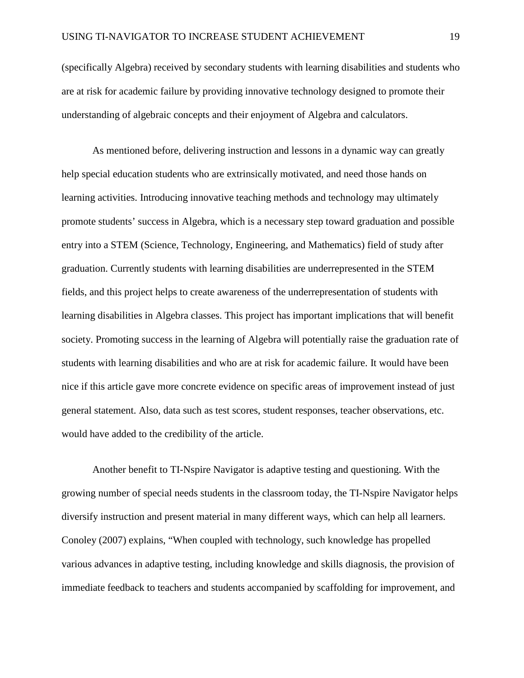(specifically Algebra) received by secondary students with learning disabilities and students who are at risk for academic failure by providing innovative technology designed to promote their understanding of algebraic concepts and their enjoyment of Algebra and calculators.

As mentioned before, delivering instruction and lessons in a dynamic way can greatly help special education students who are extrinsically motivated, and need those hands on learning activities. Introducing innovative teaching methods and technology may ultimately promote students' success in Algebra, which is a necessary step toward graduation and possible entry into a STEM (Science, Technology, Engineering, and Mathematics) field of study after graduation. Currently students with learning disabilities are underrepresented in the STEM fields, and this project helps to create awareness of the underrepresentation of students with learning disabilities in Algebra classes. This project has important implications that will benefit society. Promoting success in the learning of Algebra will potentially raise the graduation rate of students with learning disabilities and who are at risk for academic failure. It would have been nice if this article gave more concrete evidence on specific areas of improvement instead of just general statement. Also, data such as test scores, student responses, teacher observations, etc. would have added to the credibility of the article.

Another benefit to TI-Nspire Navigator is adaptive testing and questioning. With the growing number of special needs students in the classroom today, the TI-Nspire Navigator helps diversify instruction and present material in many different ways, which can help all learners. Conoley (2007) explains, "When coupled with technology, such knowledge has propelled various advances in adaptive testing, including knowledge and skills diagnosis, the provision of immediate feedback to teachers and students accompanied by scaffolding for improvement, and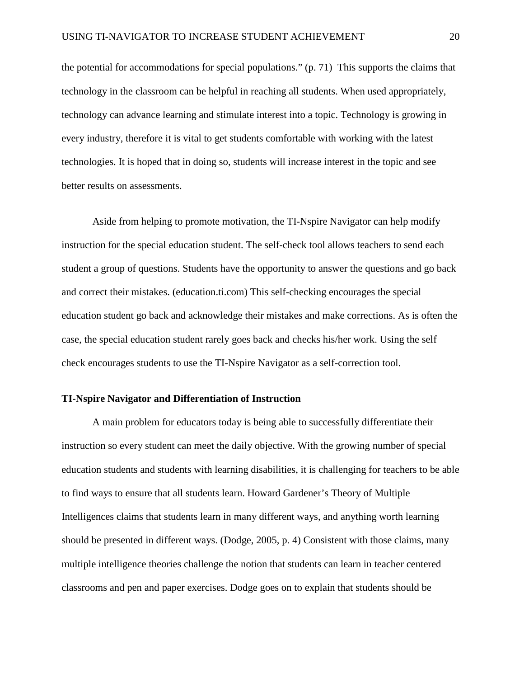the potential for accommodations for special populations." (p. 71) This supports the claims that technology in the classroom can be helpful in reaching all students. When used appropriately, technology can advance learning and stimulate interest into a topic. Technology is growing in every industry, therefore it is vital to get students comfortable with working with the latest technologies. It is hoped that in doing so, students will increase interest in the topic and see better results on assessments.

Aside from helping to promote motivation, the TI-Nspire Navigator can help modify instruction for the special education student. The self-check tool allows teachers to send each student a group of questions. Students have the opportunity to answer the questions and go back and correct their mistakes. (education.ti.com) This self-checking encourages the special education student go back and acknowledge their mistakes and make corrections. As is often the case, the special education student rarely goes back and checks his/her work. Using the self check encourages students to use the TI-Nspire Navigator as a self-correction tool.

#### **TI-Nspire Navigator and Differentiation of Instruction**

A main problem for educators today is being able to successfully differentiate their instruction so every student can meet the daily objective. With the growing number of special education students and students with learning disabilities, it is challenging for teachers to be able to find ways to ensure that all students learn. Howard Gardener's Theory of Multiple Intelligences claims that students learn in many different ways, and anything worth learning should be presented in different ways. (Dodge, 2005, p. 4) Consistent with those claims, many multiple intelligence theories challenge the notion that students can learn in teacher centered classrooms and pen and paper exercises. Dodge goes on to explain that students should be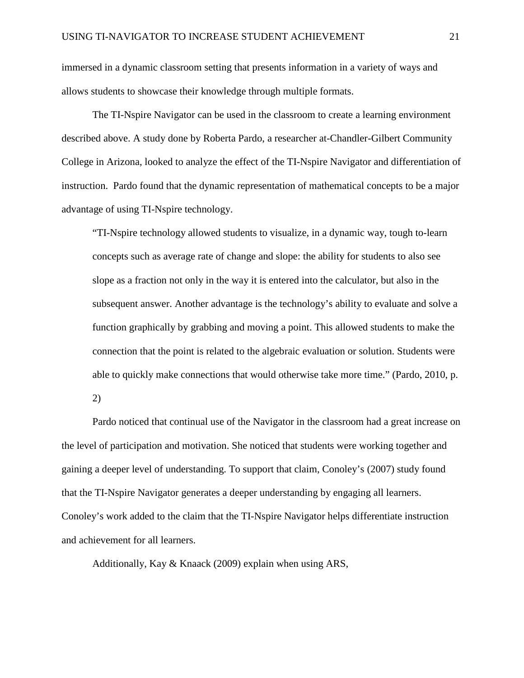immersed in a dynamic classroom setting that presents information in a variety of ways and allows students to showcase their knowledge through multiple formats.

The TI-Nspire Navigator can be used in the classroom to create a learning environment described above. A study done by Roberta Pardo, a researcher at-Chandler-Gilbert Community College in Arizona, looked to analyze the effect of the TI-Nspire Navigator and differentiation of instruction. Pardo found that the dynamic representation of mathematical concepts to be a major advantage of using TI-Nspire technology.

"TI-Nspire technology allowed students to visualize, in a dynamic way, tough to-learn concepts such as average rate of change and slope: the ability for students to also see slope as a fraction not only in the way it is entered into the calculator, but also in the subsequent answer. Another advantage is the technology's ability to evaluate and solve a function graphically by grabbing and moving a point. This allowed students to make the connection that the point is related to the algebraic evaluation or solution. Students were able to quickly make connections that would otherwise take more time." (Pardo, 2010, p.

2)

Pardo noticed that continual use of the Navigator in the classroom had a great increase on the level of participation and motivation. She noticed that students were working together and gaining a deeper level of understanding. To support that claim, Conoley's (2007) study found that the TI-Nspire Navigator generates a deeper understanding by engaging all learners. Conoley's work added to the claim that the TI-Nspire Navigator helps differentiate instruction and achievement for all learners.

Additionally, Kay & Knaack (2009) explain when using ARS,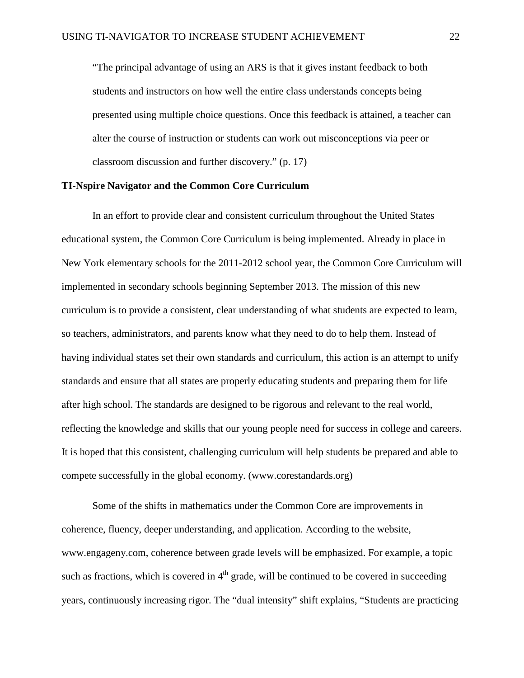"The principal advantage of using an ARS is that it gives instant feedback to both students and instructors on how well the entire class understands concepts being presented using multiple choice questions. Once this feedback is attained, a teacher can alter the course of instruction or students can work out misconceptions via peer or classroom discussion and further discovery." (p. 17)

### **TI-Nspire Navigator and the Common Core Curriculum**

In an effort to provide clear and consistent curriculum throughout the United States educational system, the Common Core Curriculum is being implemented. Already in place in New York elementary schools for the 2011-2012 school year, the Common Core Curriculum will implemented in secondary schools beginning September 2013. The mission of this new curriculum is to provide a consistent, clear understanding of what students are expected to learn, so teachers, administrators, and parents know what they need to do to help them. Instead of having individual states set their own standards and curriculum, this action is an attempt to unify standards and ensure that all states are properly educating students and preparing them for life after high school. The standards are designed to be rigorous and relevant to the real world, reflecting the knowledge and skills that our young people need for success in college and careers. It is hoped that this consistent, challenging curriculum will help students be prepared and able to compete successfully in the global economy. [\(www.corestandards.org\)](http://www.corestandards.org/)

Some of the shifts in mathematics under the Common Core are improvements in coherence, fluency, deeper understanding, and application. According to the website, [www.engageny.com,](http://www.engageny.com/) coherence between grade levels will be emphasized. For example, a topic such as fractions, which is covered in  $4<sup>th</sup>$  grade, will be continued to be covered in succeeding years, continuously increasing rigor. The "dual intensity" shift explains, "Students are practicing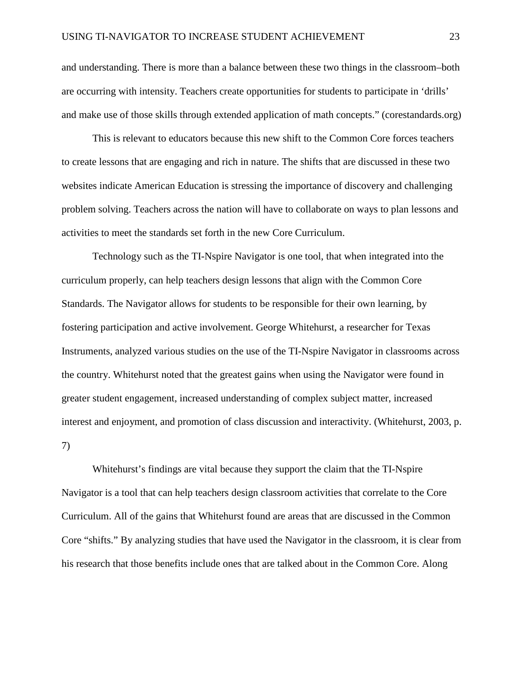and understanding. There is more than a balance between these two things in the classroom–both are occurring with intensity. Teachers create opportunities for students to participate in 'drills' and make use of those skills through extended application of math concepts." (corestandards.org)

This is relevant to educators because this new shift to the Common Core forces teachers to create lessons that are engaging and rich in nature. The shifts that are discussed in these two websites indicate American Education is stressing the importance of discovery and challenging problem solving. Teachers across the nation will have to collaborate on ways to plan lessons and activities to meet the standards set forth in the new Core Curriculum.

Technology such as the TI-Nspire Navigator is one tool, that when integrated into the curriculum properly, can help teachers design lessons that align with the Common Core Standards. The Navigator allows for students to be responsible for their own learning, by fostering participation and active involvement. George Whitehurst, a researcher for Texas Instruments, analyzed various studies on the use of the TI-Nspire Navigator in classrooms across the country. Whitehurst noted that the greatest gains when using the Navigator were found in greater student engagement, increased understanding of complex subject matter, increased interest and enjoyment, and promotion of class discussion and interactivity. (Whitehurst, 2003, p. 7)

Whitehurst's findings are vital because they support the claim that the TI-Nspire Navigator is a tool that can help teachers design classroom activities that correlate to the Core Curriculum. All of the gains that Whitehurst found are areas that are discussed in the Common Core "shifts." By analyzing studies that have used the Navigator in the classroom, it is clear from his research that those benefits include ones that are talked about in the Common Core. Along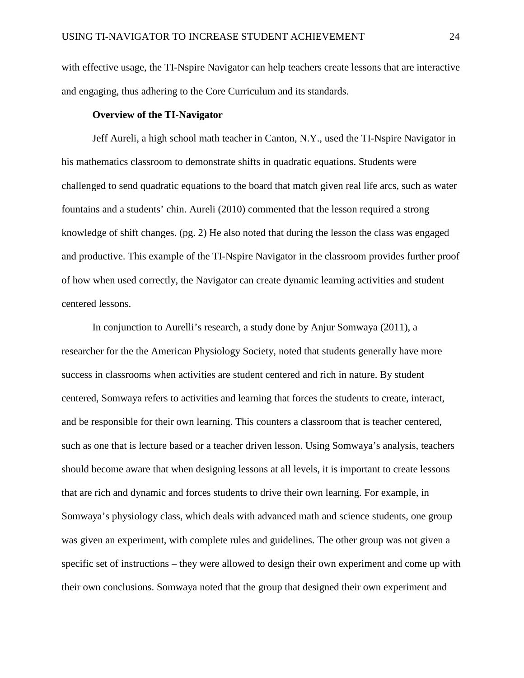with effective usage, the TI-Nspire Navigator can help teachers create lessons that are interactive and engaging, thus adhering to the Core Curriculum and its standards.

# **Overview of the TI-Navigator**

Jeff Aureli, a high school math teacher in Canton, N.Y., used the TI-Nspire Navigator in his mathematics classroom to demonstrate shifts in quadratic equations. Students were challenged to send quadratic equations to the board that match given real life arcs, such as water fountains and a students' chin. Aureli (2010) commented that the lesson required a strong knowledge of shift changes. (pg. 2) He also noted that during the lesson the class was engaged and productive. This example of the TI-Nspire Navigator in the classroom provides further proof of how when used correctly, the Navigator can create dynamic learning activities and student centered lessons.

In conjunction to Aurelli's research, a study done by Anjur Somwaya (2011), a researcher for the the American Physiology Society, noted that students generally have more success in classrooms when activities are student centered and rich in nature. By student centered, Somwaya refers to activities and learning that forces the students to create, interact, and be responsible for their own learning. This counters a classroom that is teacher centered, such as one that is lecture based or a teacher driven lesson. Using Somwaya's analysis, teachers should become aware that when designing lessons at all levels, it is important to create lessons that are rich and dynamic and forces students to drive their own learning. For example, in Somwaya's physiology class, which deals with advanced math and science students, one group was given an experiment, with complete rules and guidelines. The other group was not given a specific set of instructions – they were allowed to design their own experiment and come up with their own conclusions. Somwaya noted that the group that designed their own experiment and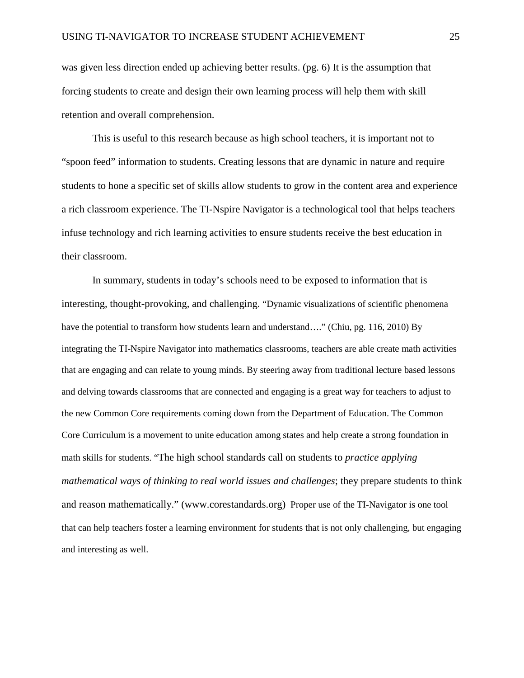was given less direction ended up achieving better results. (pg. 6) It is the assumption that forcing students to create and design their own learning process will help them with skill retention and overall comprehension.

This is useful to this research because as high school teachers, it is important not to "spoon feed" information to students. Creating lessons that are dynamic in nature and require students to hone a specific set of skills allow students to grow in the content area and experience a rich classroom experience. The TI-Nspire Navigator is a technological tool that helps teachers infuse technology and rich learning activities to ensure students receive the best education in their classroom.

In summary, students in today's schools need to be exposed to information that is interesting, thought-provoking, and challenging. "Dynamic visualizations of scientific phenomena have the potential to transform how students learn and understand...." (Chiu, pg. 116, 2010) By integrating the TI-Nspire Navigator into mathematics classrooms, teachers are able create math activities that are engaging and can relate to young minds. By steering away from traditional lecture based lessons and delving towards classrooms that are connected and engaging is a great way for teachers to adjust to the new Common Core requirements coming down from the Department of Education. The Common Core Curriculum is a movement to unite education among states and help create a strong foundation in math skills for students. "The high school standards call on students to *practice applying mathematical ways of thinking to real world issues and challenges*; they prepare students to think and reason mathematically." [\(www.corestandards.org\)](http://www.corestandards.org/) Proper use of the TI-Navigator is one tool that can help teachers foster a learning environment for students that is not only challenging, but engaging and interesting as well.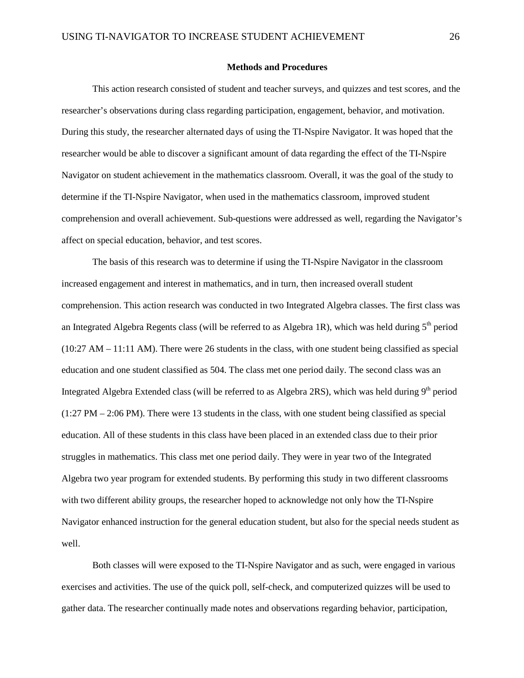#### **Methods and Procedures**

This action research consisted of student and teacher surveys, and quizzes and test scores, and the researcher's observations during class regarding participation, engagement, behavior, and motivation. During this study, the researcher alternated days of using the TI-Nspire Navigator. It was hoped that the researcher would be able to discover a significant amount of data regarding the effect of the TI-Nspire Navigator on student achievement in the mathematics classroom. Overall, it was the goal of the study to determine if the TI-Nspire Navigator, when used in the mathematics classroom, improved student comprehension and overall achievement. Sub-questions were addressed as well, regarding the Navigator's affect on special education, behavior, and test scores.

The basis of this research was to determine if using the TI-Nspire Navigator in the classroom increased engagement and interest in mathematics, and in turn, then increased overall student comprehension. This action research was conducted in two Integrated Algebra classes. The first class was an Integrated Algebra Regents class (will be referred to as Algebra 1R), which was held during  $5<sup>th</sup>$  period (10:27 AM – 11:11 AM). There were 26 students in the class, with one student being classified as special education and one student classified as 504. The class met one period daily. The second class was an Integrated Algebra Extended class (will be referred to as Algebra 2RS), which was held during  $9<sup>th</sup>$  period (1:27 PM – 2:06 PM). There were 13 students in the class, with one student being classified as special education. All of these students in this class have been placed in an extended class due to their prior struggles in mathematics. This class met one period daily. They were in year two of the Integrated Algebra two year program for extended students. By performing this study in two different classrooms with two different ability groups, the researcher hoped to acknowledge not only how the TI-Nspire Navigator enhanced instruction for the general education student, but also for the special needs student as well.

Both classes will were exposed to the TI-Nspire Navigator and as such, were engaged in various exercises and activities. The use of the quick poll, self-check, and computerized quizzes will be used to gather data. The researcher continually made notes and observations regarding behavior, participation,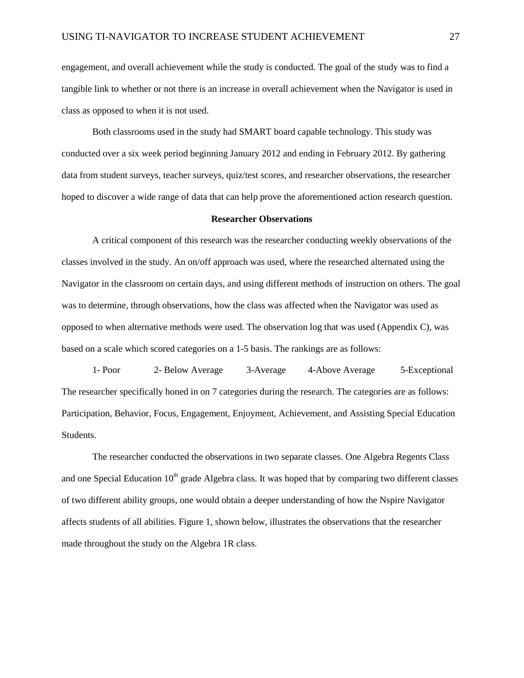engagement, and overall achievement while the study is conducted. The goal of the study was to find a tangible link to whether or not there is an increase in overall achievement when the Navigator is used in class as opposed to when it is not used.

Both classrooms used in the study had SMART board capable technology. This study was conducted over a six week period beginning January 2012 and ending in February 2012. By gathering data from student surveys, teacher surveys, quiz/test scores, and researcher observations, the researcher hoped to discover a wide range of data that can help prove the aforementioned action research question.

#### **Researcher Observations**

A critical component of this research was the researcher conducting weekly observations of the classes involved in the study. An on/off approach was used, where the researched alternated using the Navigator in the classroom on certain days, and using different methods of instruction on others. The goal was to determine, through observations, how the class was affected when the Navigator was used as opposed to when alternative methods were used. The observation log that was used (Appendix C), was based on a scale which scored categories on a 1-5 basis. The rankings are as follows:

1- Poor 2- Below Average 3-Average 4-Above Average 5-Exceptional The researcher specifically honed in on 7 categories during the research. The categories are as follows: Participation, Behavior, Focus, Engagement, Enjoyment, Achievement, and Assisting Special Education Students.

The researcher conducted the observations in two separate classes. One Algebra Regents Class and one Special Education  $10<sup>th</sup>$  grade Algebra class. It was hoped that by comparing two different classes of two different ability groups, one would obtain a deeper understanding of how the Nspire Navigator affects students of all abilities. Figure 1, shown below, illustrates the observations that the researcher made throughout the study on the Algebra 1R class.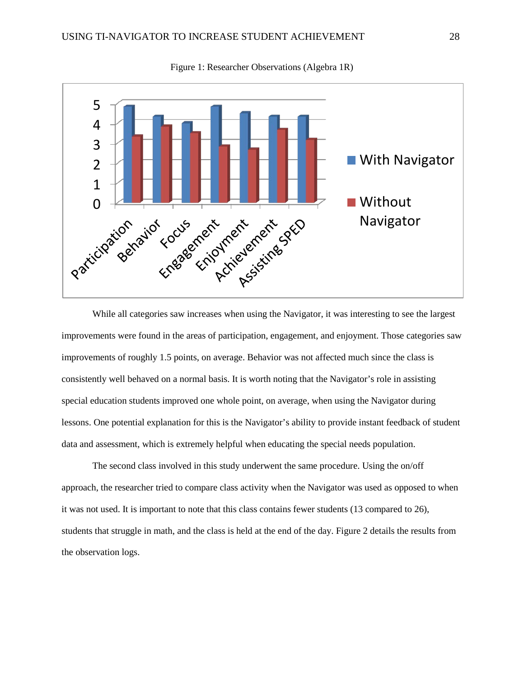

Figure 1: Researcher Observations (Algebra 1R)

While all categories saw increases when using the Navigator, it was interesting to see the largest improvements were found in the areas of participation, engagement, and enjoyment. Those categories saw improvements of roughly 1.5 points, on average. Behavior was not affected much since the class is consistently well behaved on a normal basis. It is worth noting that the Navigator's role in assisting special education students improved one whole point, on average, when using the Navigator during lessons. One potential explanation for this is the Navigator's ability to provide instant feedback of student data and assessment, which is extremely helpful when educating the special needs population.

The second class involved in this study underwent the same procedure. Using the on/off approach, the researcher tried to compare class activity when the Navigator was used as opposed to when it was not used. It is important to note that this class contains fewer students (13 compared to 26), students that struggle in math, and the class is held at the end of the day. Figure 2 details the results from the observation logs.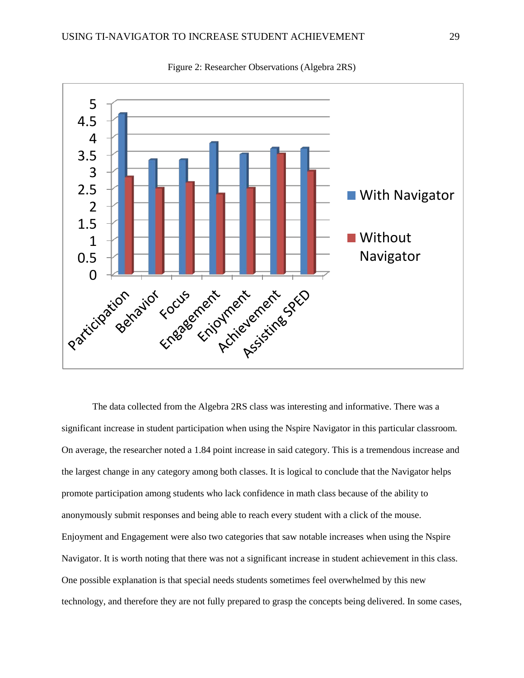

Figure 2: Researcher Observations (Algebra 2RS)

The data collected from the Algebra 2RS class was interesting and informative. There was a significant increase in student participation when using the Nspire Navigator in this particular classroom. On average, the researcher noted a 1.84 point increase in said category. This is a tremendous increase and the largest change in any category among both classes. It is logical to conclude that the Navigator helps promote participation among students who lack confidence in math class because of the ability to anonymously submit responses and being able to reach every student with a click of the mouse. Enjoyment and Engagement were also two categories that saw notable increases when using the Nspire Navigator. It is worth noting that there was not a significant increase in student achievement in this class. One possible explanation is that special needs students sometimes feel overwhelmed by this new technology, and therefore they are not fully prepared to grasp the concepts being delivered. In some cases,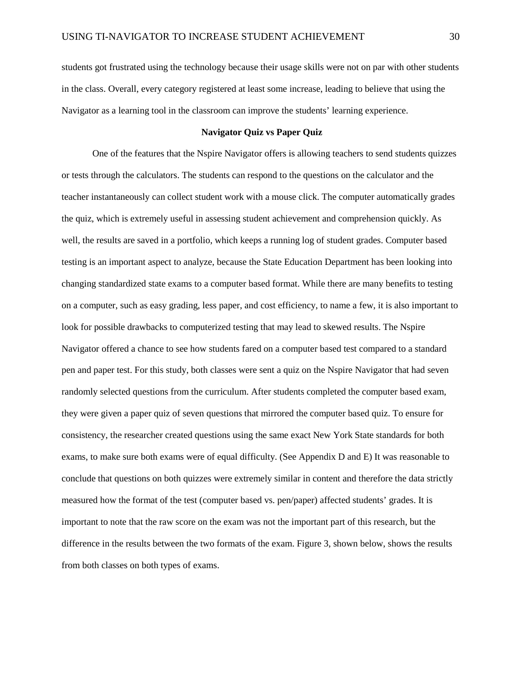students got frustrated using the technology because their usage skills were not on par with other students in the class. Overall, every category registered at least some increase, leading to believe that using the Navigator as a learning tool in the classroom can improve the students' learning experience.

#### **Navigator Quiz vs Paper Quiz**

One of the features that the Nspire Navigator offers is allowing teachers to send students quizzes or tests through the calculators. The students can respond to the questions on the calculator and the teacher instantaneously can collect student work with a mouse click. The computer automatically grades the quiz, which is extremely useful in assessing student achievement and comprehension quickly. As well, the results are saved in a portfolio, which keeps a running log of student grades. Computer based testing is an important aspect to analyze, because the State Education Department has been looking into changing standardized state exams to a computer based format. While there are many benefits to testing on a computer, such as easy grading, less paper, and cost efficiency, to name a few, it is also important to look for possible drawbacks to computerized testing that may lead to skewed results. The Nspire Navigator offered a chance to see how students fared on a computer based test compared to a standard pen and paper test. For this study, both classes were sent a quiz on the Nspire Navigator that had seven randomly selected questions from the curriculum. After students completed the computer based exam, they were given a paper quiz of seven questions that mirrored the computer based quiz. To ensure for consistency, the researcher created questions using the same exact New York State standards for both exams, to make sure both exams were of equal difficulty. (See Appendix D and E) It was reasonable to conclude that questions on both quizzes were extremely similar in content and therefore the data strictly measured how the format of the test (computer based vs. pen/paper) affected students' grades. It is important to note that the raw score on the exam was not the important part of this research, but the difference in the results between the two formats of the exam. Figure 3, shown below, shows the results from both classes on both types of exams.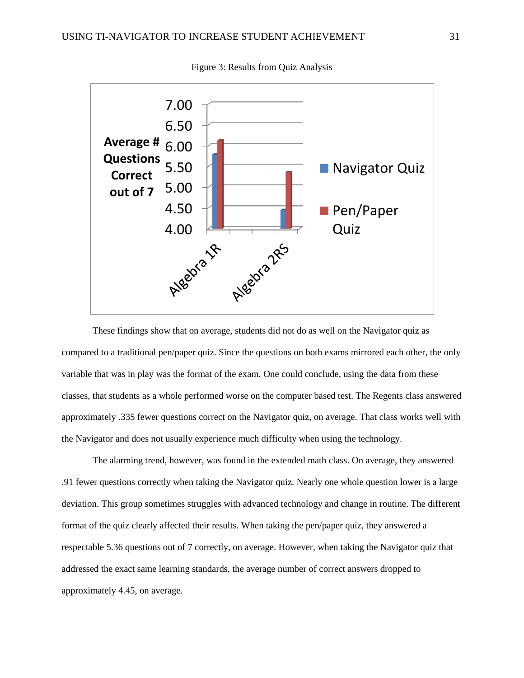

Figure 3: Results from Quiz Analysis

These findings show that on average, students did not do as well on the Navigator quiz as compared to a traditional pen/paper quiz. Since the questions on both exams mirrored each other, the only variable that was in play was the format of the exam. One could conclude, using the data from these classes, that students as a whole performed worse on the computer based test. The Regents class answered approximately .335 fewer questions correct on the Navigator quiz, on average. That class works well with the Navigator and does not usually experience much difficulty when using the technology.

The alarming trend, however, was found in the extended math class. On average, they answered .91 fewer questions correctly when taking the Navigator quiz. Nearly one whole question lower is a large deviation. This group sometimes struggles with advanced technology and change in routine. The different format of the quiz clearly affected their results. When taking the pen/paper quiz, they answered a respectable 5.36 questions out of 7 correctly, on average. However, when taking the Navigator quiz that addressed the exact same learning standards, the average number of correct answers dropped to approximately 4.45, on average.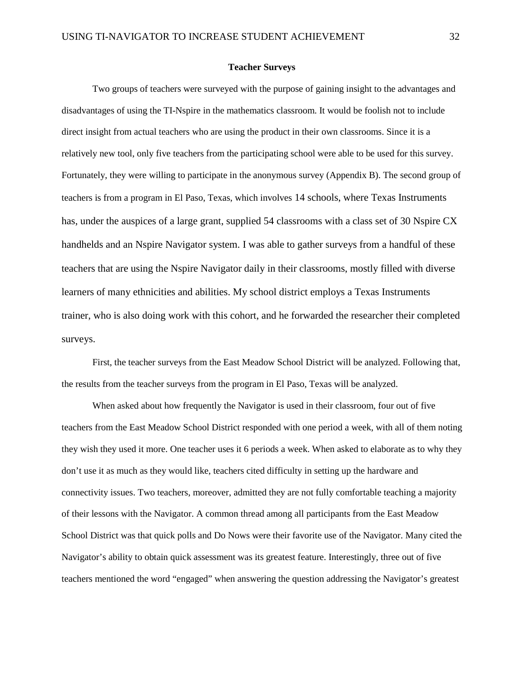#### **Teacher Surveys**

Two groups of teachers were surveyed with the purpose of gaining insight to the advantages and disadvantages of using the TI-Nspire in the mathematics classroom. It would be foolish not to include direct insight from actual teachers who are using the product in their own classrooms. Since it is a relatively new tool, only five teachers from the participating school were able to be used for this survey. Fortunately, they were willing to participate in the anonymous survey (Appendix B). The second group of teachers is from a program in El Paso, Texas, which involves 14 schools, where Texas Instruments has, under the auspices of a large grant, supplied 54 classrooms with a class set of 30 Nspire CX handhelds and an Nspire Navigator system. I was able to gather surveys from a handful of these teachers that are using the Nspire Navigator daily in their classrooms, mostly filled with diverse learners of many ethnicities and abilities. My school district employs a Texas Instruments trainer, who is also doing work with this cohort, and he forwarded the researcher their completed surveys.

First, the teacher surveys from the East Meadow School District will be analyzed. Following that, the results from the teacher surveys from the program in El Paso, Texas will be analyzed.

When asked about how frequently the Navigator is used in their classroom, four out of five teachers from the East Meadow School District responded with one period a week, with all of them noting they wish they used it more. One teacher uses it 6 periods a week. When asked to elaborate as to why they don't use it as much as they would like, teachers cited difficulty in setting up the hardware and connectivity issues. Two teachers, moreover, admitted they are not fully comfortable teaching a majority of their lessons with the Navigator. A common thread among all participants from the East Meadow School District was that quick polls and Do Nows were their favorite use of the Navigator. Many cited the Navigator's ability to obtain quick assessment was its greatest feature. Interestingly, three out of five teachers mentioned the word "engaged" when answering the question addressing the Navigator's greatest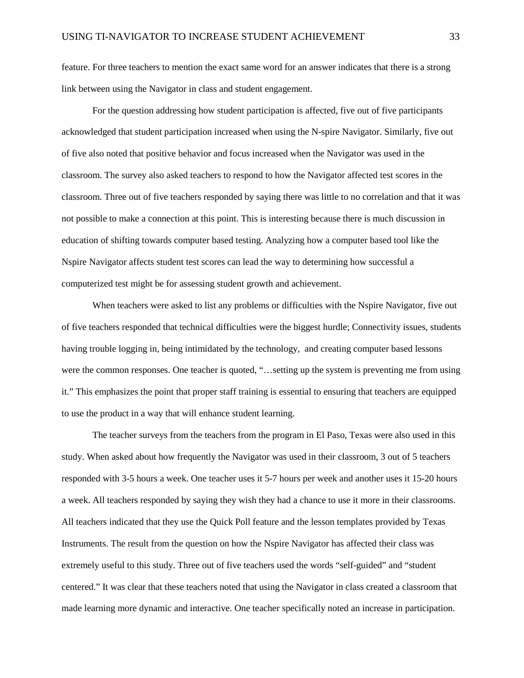feature. For three teachers to mention the exact same word for an answer indicates that there is a strong link between using the Navigator in class and student engagement.

For the question addressing how student participation is affected, five out of five participants acknowledged that student participation increased when using the N-spire Navigator. Similarly, five out of five also noted that positive behavior and focus increased when the Navigator was used in the classroom. The survey also asked teachers to respond to how the Navigator affected test scores in the classroom. Three out of five teachers responded by saying there was little to no correlation and that it was not possible to make a connection at this point. This is interesting because there is much discussion in education of shifting towards computer based testing. Analyzing how a computer based tool like the Nspire Navigator affects student test scores can lead the way to determining how successful a computerized test might be for assessing student growth and achievement.

When teachers were asked to list any problems or difficulties with the Nspire Navigator, five out of five teachers responded that technical difficulties were the biggest hurdle; Connectivity issues, students having trouble logging in, being intimidated by the technology, and creating computer based lessons were the common responses. One teacher is quoted, "…setting up the system is preventing me from using it." This emphasizes the point that proper staff training is essential to ensuring that teachers are equipped to use the product in a way that will enhance student learning.

The teacher surveys from the teachers from the program in El Paso, Texas were also used in this study. When asked about how frequently the Navigator was used in their classroom, 3 out of 5 teachers responded with 3-5 hours a week. One teacher uses it 5-7 hours per week and another uses it 15-20 hours a week. All teachers responded by saying they wish they had a chance to use it more in their classrooms. All teachers indicated that they use the Quick Poll feature and the lesson templates provided by Texas Instruments. The result from the question on how the Nspire Navigator has affected their class was extremely useful to this study. Three out of five teachers used the words "self-guided" and "student centered." It was clear that these teachers noted that using the Navigator in class created a classroom that made learning more dynamic and interactive. One teacher specifically noted an increase in participation.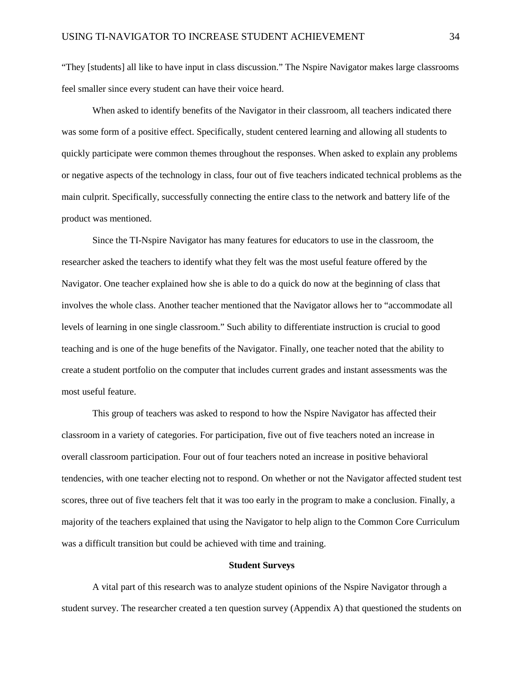"They [students] all like to have input in class discussion." The Nspire Navigator makes large classrooms feel smaller since every student can have their voice heard.

When asked to identify benefits of the Navigator in their classroom, all teachers indicated there was some form of a positive effect. Specifically, student centered learning and allowing all students to quickly participate were common themes throughout the responses. When asked to explain any problems or negative aspects of the technology in class, four out of five teachers indicated technical problems as the main culprit. Specifically, successfully connecting the entire class to the network and battery life of the product was mentioned.

Since the TI-Nspire Navigator has many features for educators to use in the classroom, the researcher asked the teachers to identify what they felt was the most useful feature offered by the Navigator. One teacher explained how she is able to do a quick do now at the beginning of class that involves the whole class. Another teacher mentioned that the Navigator allows her to "accommodate all levels of learning in one single classroom." Such ability to differentiate instruction is crucial to good teaching and is one of the huge benefits of the Navigator. Finally, one teacher noted that the ability to create a student portfolio on the computer that includes current grades and instant assessments was the most useful feature.

This group of teachers was asked to respond to how the Nspire Navigator has affected their classroom in a variety of categories. For participation, five out of five teachers noted an increase in overall classroom participation. Four out of four teachers noted an increase in positive behavioral tendencies, with one teacher electing not to respond. On whether or not the Navigator affected student test scores, three out of five teachers felt that it was too early in the program to make a conclusion. Finally, a majority of the teachers explained that using the Navigator to help align to the Common Core Curriculum was a difficult transition but could be achieved with time and training.

#### **Student Surveys**

A vital part of this research was to analyze student opinions of the Nspire Navigator through a student survey. The researcher created a ten question survey (Appendix A) that questioned the students on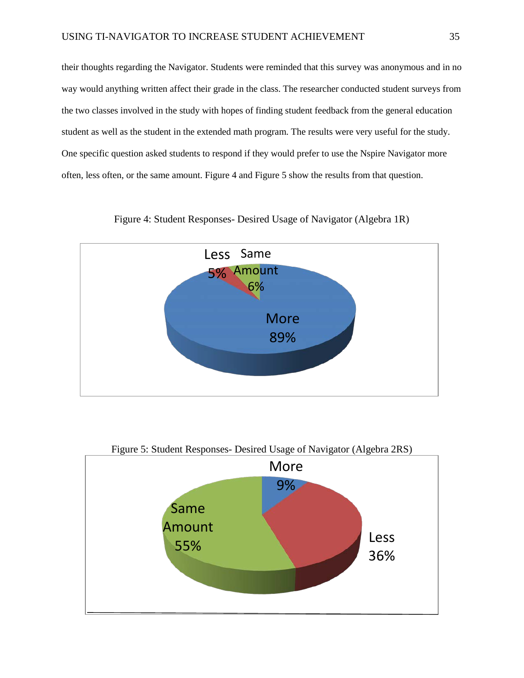their thoughts regarding the Navigator. Students were reminded that this survey was anonymous and in no way would anything written affect their grade in the class. The researcher conducted student surveys from the two classes involved in the study with hopes of finding student feedback from the general education student as well as the student in the extended math program. The results were very useful for the study. One specific question asked students to respond if they would prefer to use the Nspire Navigator more often, less often, or the same amount. Figure 4 and Figure 5 show the results from that question.



Figure 4: Student Responses- Desired Usage of Navigator (Algebra 1R)



# Figure 5: Student Responses- Desired Usage of Navigator (Algebra 2RS)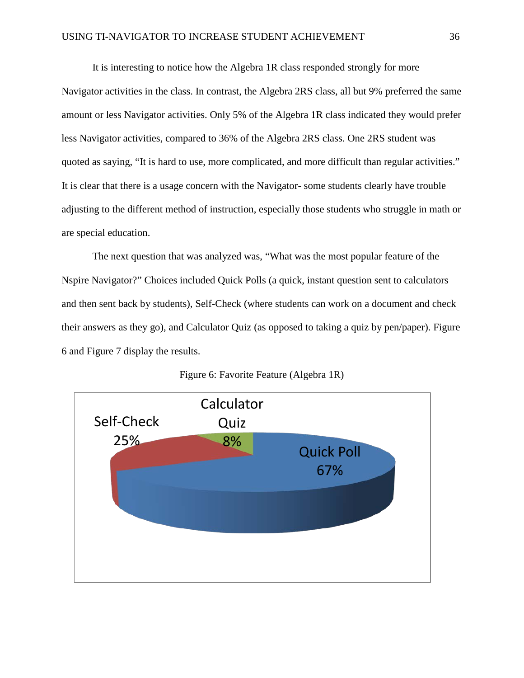It is interesting to notice how the Algebra 1R class responded strongly for more Navigator activities in the class. In contrast, the Algebra 2RS class, all but 9% preferred the same amount or less Navigator activities. Only 5% of the Algebra 1R class indicated they would prefer less Navigator activities, compared to 36% of the Algebra 2RS class. One 2RS student was quoted as saying, "It is hard to use, more complicated, and more difficult than regular activities." It is clear that there is a usage concern with the Navigator- some students clearly have trouble adjusting to the different method of instruction, especially those students who struggle in math or are special education.

The next question that was analyzed was, "What was the most popular feature of the Nspire Navigator?" Choices included Quick Polls (a quick, instant question sent to calculators and then sent back by students), Self-Check (where students can work on a document and check their answers as they go), and Calculator Quiz (as opposed to taking a quiz by pen/paper). Figure 6 and Figure 7 display the results.



Figure 6: Favorite Feature (Algebra 1R)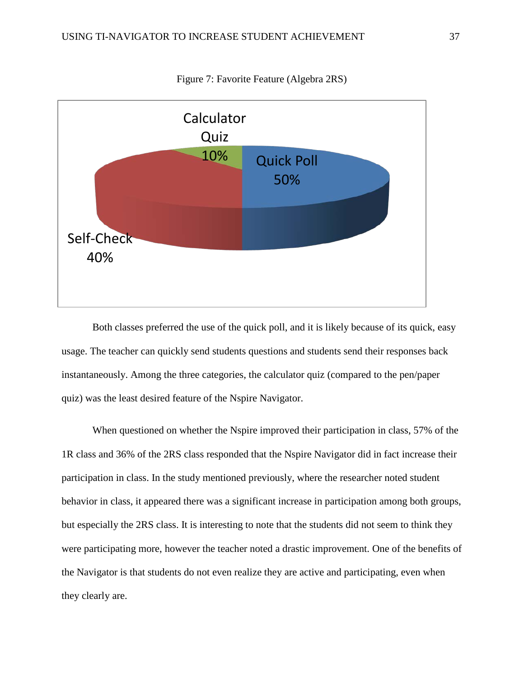

Figure 7: Favorite Feature (Algebra 2RS)

Both classes preferred the use of the quick poll, and it is likely because of its quick, easy usage. The teacher can quickly send students questions and students send their responses back instantaneously. Among the three categories, the calculator quiz (compared to the pen/paper quiz) was the least desired feature of the Nspire Navigator.

When questioned on whether the Nspire improved their participation in class, 57% of the 1R class and 36% of the 2RS class responded that the Nspire Navigator did in fact increase their participation in class. In the study mentioned previously, where the researcher noted student behavior in class, it appeared there was a significant increase in participation among both groups, but especially the 2RS class. It is interesting to note that the students did not seem to think they were participating more, however the teacher noted a drastic improvement. One of the benefits of the Navigator is that students do not even realize they are active and participating, even when they clearly are.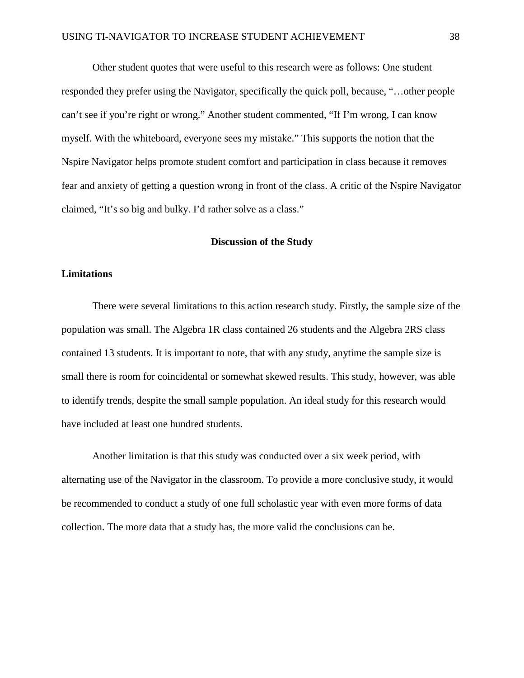Other student quotes that were useful to this research were as follows: One student responded they prefer using the Navigator, specifically the quick poll, because, "…other people can't see if you're right or wrong." Another student commented, "If I'm wrong, I can know myself. With the whiteboard, everyone sees my mistake." This supports the notion that the Nspire Navigator helps promote student comfort and participation in class because it removes fear and anxiety of getting a question wrong in front of the class. A critic of the Nspire Navigator claimed, "It's so big and bulky. I'd rather solve as a class."

#### **Discussion of the Study**

## **Limitations**

There were several limitations to this action research study. Firstly, the sample size of the population was small. The Algebra 1R class contained 26 students and the Algebra 2RS class contained 13 students. It is important to note, that with any study, anytime the sample size is small there is room for coincidental or somewhat skewed results. This study, however, was able to identify trends, despite the small sample population. An ideal study for this research would have included at least one hundred students.

Another limitation is that this study was conducted over a six week period, with alternating use of the Navigator in the classroom. To provide a more conclusive study, it would be recommended to conduct a study of one full scholastic year with even more forms of data collection. The more data that a study has, the more valid the conclusions can be.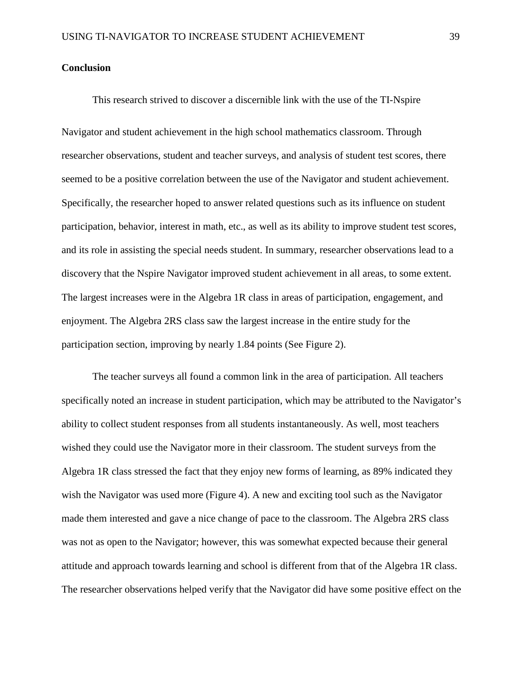# **Conclusion**

This research strived to discover a discernible link with the use of the TI-Nspire

Navigator and student achievement in the high school mathematics classroom. Through researcher observations, student and teacher surveys, and analysis of student test scores, there seemed to be a positive correlation between the use of the Navigator and student achievement. Specifically, the researcher hoped to answer related questions such as its influence on student participation, behavior, interest in math, etc., as well as its ability to improve student test scores, and its role in assisting the special needs student. In summary, researcher observations lead to a discovery that the Nspire Navigator improved student achievement in all areas, to some extent. The largest increases were in the Algebra 1R class in areas of participation, engagement, and enjoyment. The Algebra 2RS class saw the largest increase in the entire study for the participation section, improving by nearly 1.84 points (See Figure 2).

The teacher surveys all found a common link in the area of participation. All teachers specifically noted an increase in student participation, which may be attributed to the Navigator's ability to collect student responses from all students instantaneously. As well, most teachers wished they could use the Navigator more in their classroom. The student surveys from the Algebra 1R class stressed the fact that they enjoy new forms of learning, as 89% indicated they wish the Navigator was used more (Figure 4). A new and exciting tool such as the Navigator made them interested and gave a nice change of pace to the classroom. The Algebra 2RS class was not as open to the Navigator; however, this was somewhat expected because their general attitude and approach towards learning and school is different from that of the Algebra 1R class. The researcher observations helped verify that the Navigator did have some positive effect on the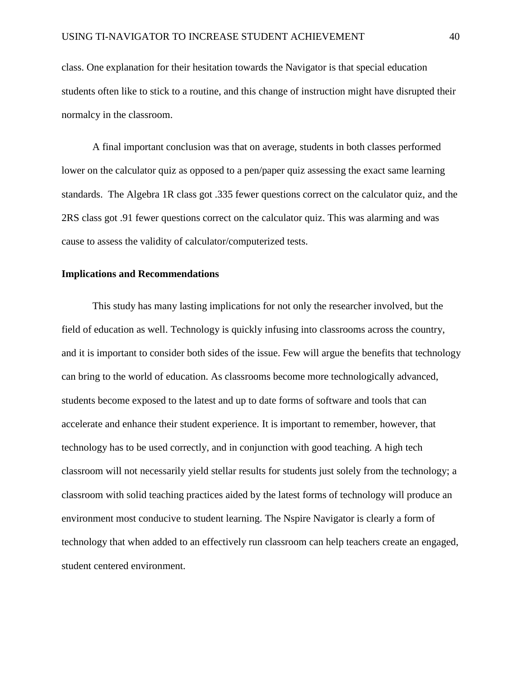class. One explanation for their hesitation towards the Navigator is that special education students often like to stick to a routine, and this change of instruction might have disrupted their normalcy in the classroom.

A final important conclusion was that on average, students in both classes performed lower on the calculator quiz as opposed to a pen/paper quiz assessing the exact same learning standards. The Algebra 1R class got .335 fewer questions correct on the calculator quiz, and the 2RS class got .91 fewer questions correct on the calculator quiz. This was alarming and was cause to assess the validity of calculator/computerized tests.

#### **Implications and Recommendations**

This study has many lasting implications for not only the researcher involved, but the field of education as well. Technology is quickly infusing into classrooms across the country, and it is important to consider both sides of the issue. Few will argue the benefits that technology can bring to the world of education. As classrooms become more technologically advanced, students become exposed to the latest and up to date forms of software and tools that can accelerate and enhance their student experience. It is important to remember, however, that technology has to be used correctly, and in conjunction with good teaching. A high tech classroom will not necessarily yield stellar results for students just solely from the technology; a classroom with solid teaching practices aided by the latest forms of technology will produce an environment most conducive to student learning. The Nspire Navigator is clearly a form of technology that when added to an effectively run classroom can help teachers create an engaged, student centered environment.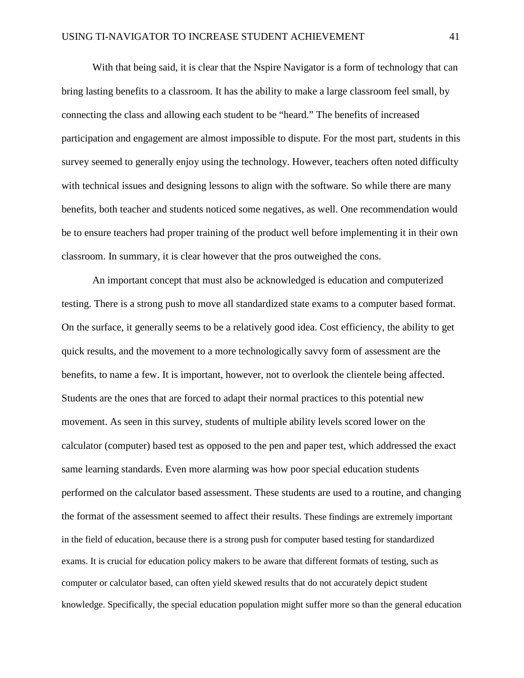With that being said, it is clear that the Nspire Navigator is a form of technology that can bring lasting benefits to a classroom. It has the ability to make a large classroom feel small, by connecting the class and allowing each student to be "heard." The benefits of increased participation and engagement are almost impossible to dispute. For the most part, students in this survey seemed to generally enjoy using the technology. However, teachers often noted difficulty with technical issues and designing lessons to align with the software. So while there are many benefits, both teacher and students noticed some negatives, as well. One recommendation would be to ensure teachers had proper training of the product well before implementing it in their own classroom. In summary, it is clear however that the pros outweighed the cons.

An important concept that must also be acknowledged is education and computerized testing. There is a strong push to move all standardized state exams to a computer based format. On the surface, it generally seems to be a relatively good idea. Cost efficiency, the ability to get quick results, and the movement to a more technologically savvy form of assessment are the benefits, to name a few. It is important, however, not to overlook the clientele being affected. Students are the ones that are forced to adapt their normal practices to this potential new movement. As seen in this survey, students of multiple ability levels scored lower on the calculator (computer) based test as opposed to the pen and paper test, which addressed the exact same learning standards. Even more alarming was how poor special education students performed on the calculator based assessment. These students are used to a routine, and changing the format of the assessment seemed to affect their results. These findings are extremely important in the field of education, because there is a strong push for computer based testing for standardized exams. It is crucial for education policy makers to be aware that different formats of testing, such as computer or calculator based, can often yield skewed results that do not accurately depict student knowledge. Specifically, the special education population might suffer more so than the general education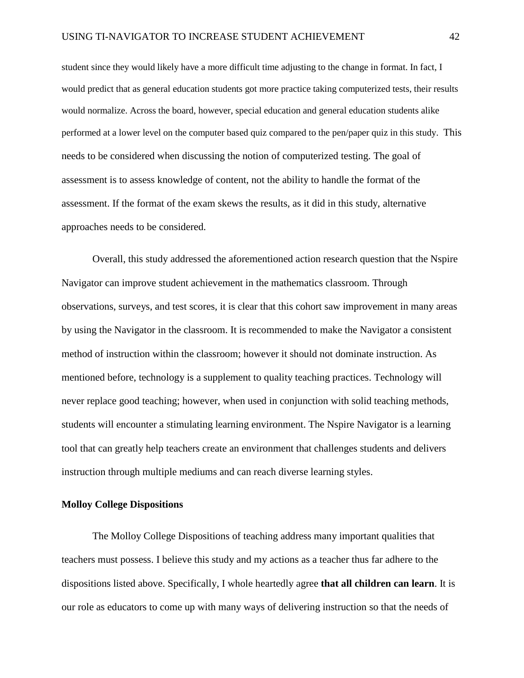student since they would likely have a more difficult time adjusting to the change in format. In fact, I would predict that as general education students got more practice taking computerized tests, their results would normalize. Across the board, however, special education and general education students alike performed at a lower level on the computer based quiz compared to the pen/paper quiz in this study. This needs to be considered when discussing the notion of computerized testing. The goal of assessment is to assess knowledge of content, not the ability to handle the format of the assessment. If the format of the exam skews the results, as it did in this study, alternative approaches needs to be considered.

Overall, this study addressed the aforementioned action research question that the Nspire Navigator can improve student achievement in the mathematics classroom. Through observations, surveys, and test scores, it is clear that this cohort saw improvement in many areas by using the Navigator in the classroom. It is recommended to make the Navigator a consistent method of instruction within the classroom; however it should not dominate instruction. As mentioned before, technology is a supplement to quality teaching practices. Technology will never replace good teaching; however, when used in conjunction with solid teaching methods, students will encounter a stimulating learning environment. The Nspire Navigator is a learning tool that can greatly help teachers create an environment that challenges students and delivers instruction through multiple mediums and can reach diverse learning styles.

# **Molloy College Dispositions**

The Molloy College Dispositions of teaching address many important qualities that teachers must possess. I believe this study and my actions as a teacher thus far adhere to the dispositions listed above. Specifically, I whole heartedly agree **that all children can learn**. It is our role as educators to come up with many ways of delivering instruction so that the needs of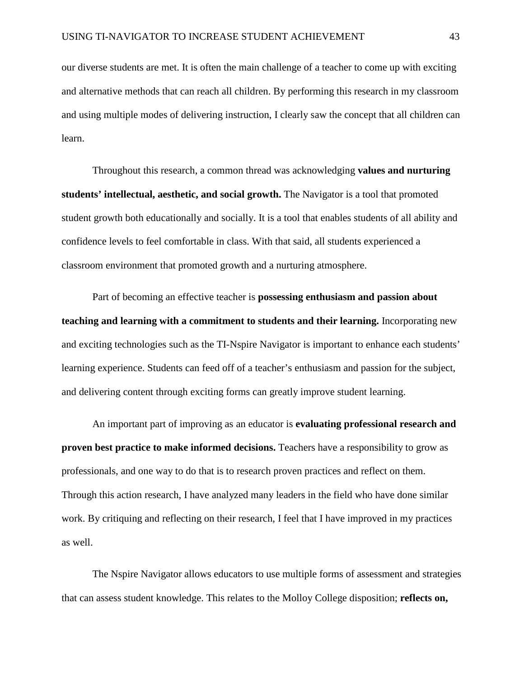our diverse students are met. It is often the main challenge of a teacher to come up with exciting and alternative methods that can reach all children. By performing this research in my classroom and using multiple modes of delivering instruction, I clearly saw the concept that all children can learn.

Throughout this research, a common thread was acknowledging **values and nurturing students' intellectual, aesthetic, and social growth.** The Navigator is a tool that promoted student growth both educationally and socially. It is a tool that enables students of all ability and confidence levels to feel comfortable in class. With that said, all students experienced a classroom environment that promoted growth and a nurturing atmosphere.

Part of becoming an effective teacher is **possessing enthusiasm and passion about teaching and learning with a commitment to students and their learning.** Incorporating new and exciting technologies such as the TI-Nspire Navigator is important to enhance each students' learning experience. Students can feed off of a teacher's enthusiasm and passion for the subject, and delivering content through exciting forms can greatly improve student learning.

An important part of improving as an educator is **evaluating professional research and proven best practice to make informed decisions.** Teachers have a responsibility to grow as professionals, and one way to do that is to research proven practices and reflect on them. Through this action research, I have analyzed many leaders in the field who have done similar work. By critiquing and reflecting on their research, I feel that I have improved in my practices as well.

The Nspire Navigator allows educators to use multiple forms of assessment and strategies that can assess student knowledge. This relates to the Molloy College disposition; **reflects on,**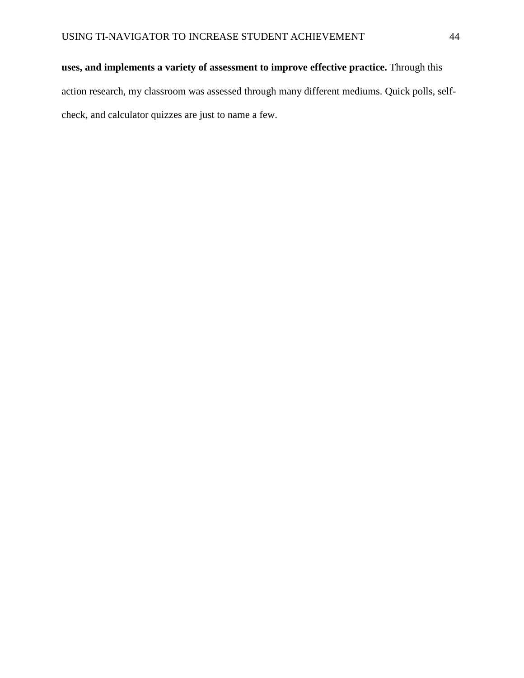# **uses, and implements a variety of assessment to improve effective practice.** Through this

action research, my classroom was assessed through many different mediums. Quick polls, selfcheck, and calculator quizzes are just to name a few.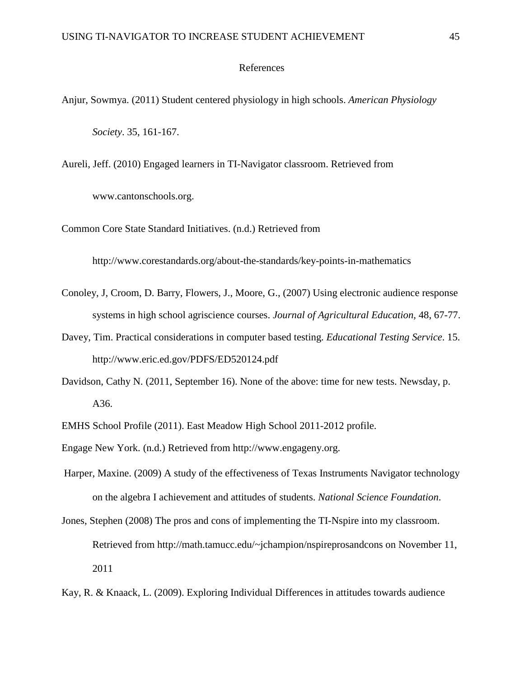#### References

- Anjur, Sowmya. (2011) Student centered physiology in high schools. *American Physiology Society*. 35, 161-167.
- Aureli, Jeff. (2010) Engaged learners in TI-Navigator classroom. Retrieved from [www.cantonschools.org.](http://www.cantonschools.org/)
- Common Core State Standard Initiatives. (n.d.) Retrieved from

http://www.corestandards.org/about-the-standards/key-points-in-mathematics

- Conoley, J, Croom, D. Barry, Flowers, J., Moore, G., (2007) Using electronic audience response systems in high school agriscience courses. *Journal of Agricultural Education,* 48, 67-77.
- Davey, Tim. Practical considerations in computer based testing. *Educational Testing Service*. 15. <http://www.eric.ed.gov/PDFS/ED520124.pdf>
- Davidson, Cathy N. (2011, September 16). None of the above: time for new tests. Newsday, p. A36.
- EMHS School Profile (2011). East Meadow High School 2011-2012 profile.
- Engage New York. (n.d.) Retrieved from http://www.engageny.org.
- Harper, Maxine. (2009) A study of the effectiveness of Texas Instruments Navigator technology on the algebra I achievement and attitudes of students. *National Science Foundation*.
- Jones, Stephen (2008) The pros and cons of implementing the TI-Nspire into my classroom. Retrieved from [http://math.tamucc.edu/~jchampion/nspireprosandcons on November 11,](http://math.tamucc.edu/~jchampion/nspireprosandcons%20on%20November%2011) 2011
- Kay, R. & Knaack, L. (2009). Exploring Individual Differences in attitudes towards audience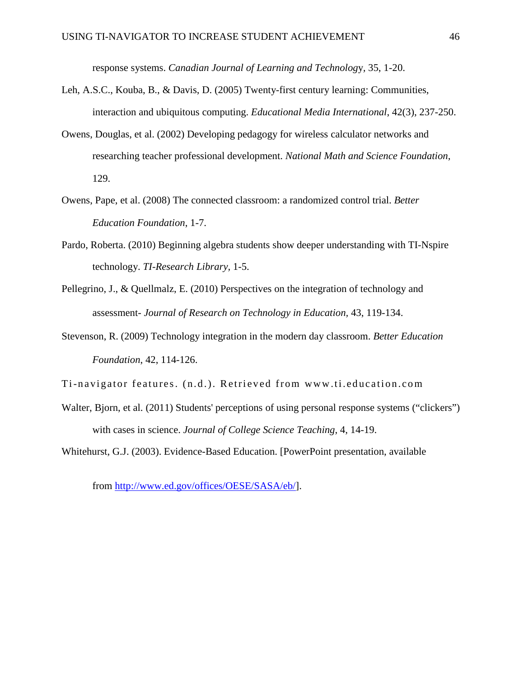response systems. *Canadian Journal of Learning and Technolog*y*,* 35, 1-20.

- Leh, A.S.C., Kouba, B., & Davis, D. (2005) Twenty-first century learning: Communities, interaction and ubiquitous computing. *Educational Media International*, 42(3), 237-250.
- Owens, Douglas, et al. (2002) Developing pedagogy for wireless calculator networks and researching teacher professional development. *National Math and Science Foundation*, 129.
- Owens, Pape, et al. (2008) The connected classroom: a randomized control trial. *Better Education Foundation*, 1-7.
- Pardo, Roberta. (2010) Beginning algebra students show deeper understanding with TI-Nspire technology. *TI-Research Library,* 1-5.
- Pellegrino, J., & Quellmalz, E. (2010) Perspectives on the integration of technology and assessment- *Journal of Research on Technology in Education,* 43, 119-134.
- Stevenson, R. (2009) Technology integration in the modern day classroom. *Better Education Foundation*, 42, 114-126.
- Ti-navigator features. (n.d.). Retrieved from www.ti.education.com
- Walter, Bjorn, et al. (2011) Students' perceptions of using personal response systems ("clickers") with cases in science. *Journal of College Science Teaching*, 4, 14-19.

Whitehurst, G.J. (2003). Evidence-Based Education. [PowerPoint presentation, available

from [http://www.ed.gov/offices/OESE/SASA/eb/\]](http://www.ed.gov/offices/OESE/SASA/eb/).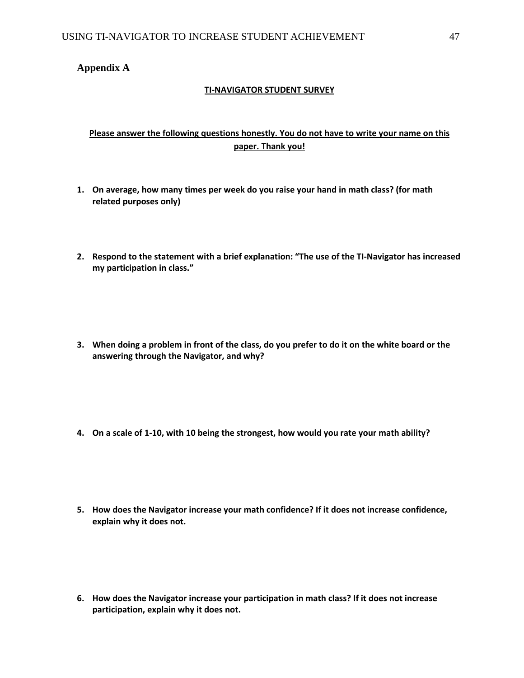# **Appendix A**

# **TI-NAVIGATOR STUDENT SURVEY**

# **Please answer the following questions honestly. You do not have to write your name on this paper. Thank you!**

- **1. On average, how many times per week do you raise your hand in math class? (for math related purposes only)**
- **2. Respond to the statement with a brief explanation: "The use of the TI-Navigator has increased my participation in class."**
- **3. When doing a problem in front of the class, do you prefer to do it on the white board or the answering through the Navigator, and why?**
- **4. On a scale of 1-10, with 10 being the strongest, how would you rate your math ability?**
- **5. How does the Navigator increase your math confidence? If it does not increase confidence, explain why it does not.**
- **6. How does the Navigator increase your participation in math class? If it does not increase participation, explain why it does not.**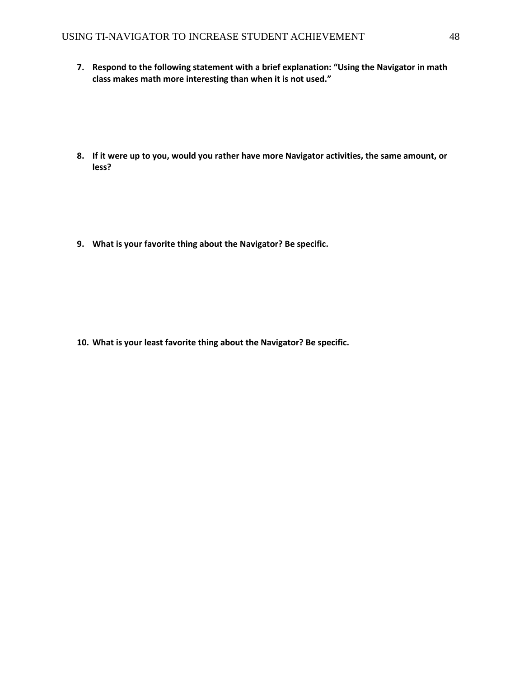- **7. Respond to the following statement with a brief explanation: "Using the Navigator in math class makes math more interesting than when it is not used."**
- **8. If it were up to you, would you rather have more Navigator activities, the same amount, or less?**

**9. What is your favorite thing about the Navigator? Be specific.**

**10. What is your least favorite thing about the Navigator? Be specific.**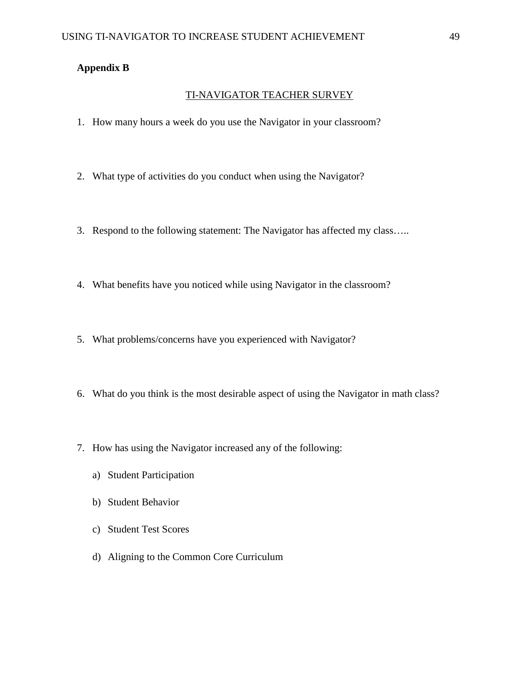# **Appendix B**

## TI-NAVIGATOR TEACHER SURVEY

- 1. How many hours a week do you use the Navigator in your classroom?
- 2. What type of activities do you conduct when using the Navigator?
- 3. Respond to the following statement: The Navigator has affected my class…..
- 4. What benefits have you noticed while using Navigator in the classroom?
- 5. What problems/concerns have you experienced with Navigator?
- 6. What do you think is the most desirable aspect of using the Navigator in math class?
- 7. How has using the Navigator increased any of the following:
	- a) Student Participation
	- b) Student Behavior
	- c) Student Test Scores
	- d) Aligning to the Common Core Curriculum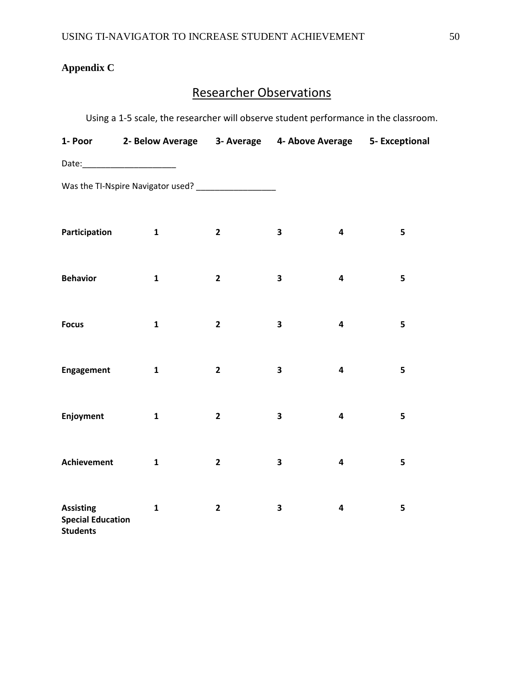# **Appendix C**

# Researcher Observations

Using a 1-5 scale, the researcher will observe student performance in the classroom.

| Participation                                | $\mathbf{1}$ | $\mathbf{2}$   | $\overline{\mathbf{3}}$ | 5<br>4                       |
|----------------------------------------------|--------------|----------------|-------------------------|------------------------------|
|                                              |              |                |                         |                              |
| <b>Behavior</b>                              | $\mathbf{1}$ | $\mathbf{2}$   | $\overline{\mathbf{3}}$ | 5<br>4                       |
|                                              |              |                |                         |                              |
| <b>Focus</b>                                 | $\mathbf{1}$ | $\mathbf{2}$   | $\overline{\mathbf{3}}$ | 5<br>4                       |
| <b>Engagement</b>                            | $\mathbf{1}$ | $\overline{2}$ | $\overline{\mathbf{3}}$ | 5<br>4                       |
|                                              |              |                |                         |                              |
| Enjoyment                                    | $\mathbf{1}$ | $\mathbf{2}$   | 3                       | 5<br>4                       |
|                                              |              |                |                         |                              |
| <b>Achievement</b>                           | $\mathbf{1}$ | $\mathbf{2}$   | $\overline{\mathbf{3}}$ | 5<br>$\overline{\mathbf{4}}$ |
|                                              |              |                |                         |                              |
| <b>Assisting</b><br><b>Special Education</b> | $\mathbf{1}$ | $\mathbf{2}$   | 3                       | 5<br>4                       |
| <b>Students</b>                              |              |                |                         |                              |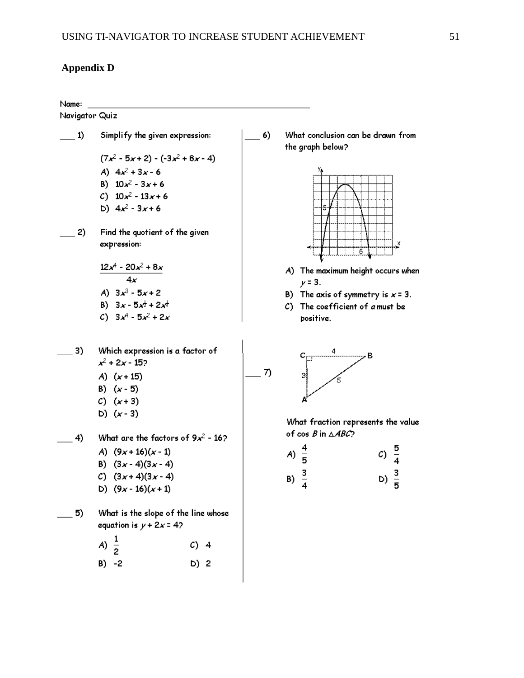# **Appendix D**

#### Name:

Navigator Quiz

- $\underline{\qquad}$  1) Simplify the given expression:  $(7x<sup>2</sup> - 5x + 2) - (-3x<sup>2</sup> + 8x - 4)$ A)  $4x^2 + 3x - 6$ B)  $10x^2 - 3x + 6$ C)  $10x^2 - 13x + 6$ b)  $4x^2 - 3x + 6$ Find the quotient of the given  $2)$ expression:  $12x^4 - 20x^2 + 8x$  $4x$ A)  $3x^3 - 5x + 2$ B)  $3x - 5x^{\frac{1}{2}} + 2x^{\frac{1}{3}}$ C)  $3x^4 - 5x^2 + 2x$ Which expression is a factor of 3)  $x^2$  + 2x - 15? A)  $(x + 15)$ B)  $(x - 5)$  $C)$   $(x+3)$ D)  $(x - 3)$ What are the factors of  $9x^2 - 16$ ? 4) A)  $(9x+16)(x-1)$ B)  $(3x-4)(3x-4)$  $C)$   $(3x+4)(3x-4)$ 
	- D)  $(9x 16)(x + 1)$
- What is the slope of the line whose 5) equation is  $y + 2x = 4$ ?

A)  $C)$  4  $\overline{2}$  $B) -2$ D) 2

What conclusion can be drawn from 6) the graph below?



- A) The maximum height occurs when  $y = 3.$
- B) The axis of symmetry is  $x = 3$ .
- C) The coefficient of a must be positive.



 $\overline{7}$ 

What fraction represents the value of  $cos B$  in  $\triangle ABC$ ?

| A) $\frac{4}{5}$ | c) $\frac{5}{4}$ |
|------------------|------------------|
| B) $\frac{3}{4}$ | $D) \frac{3}{5}$ |